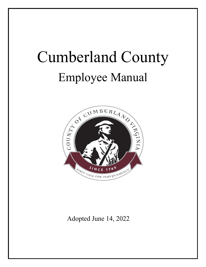# Cumberland County Employee Manual



Adopted June 14, 2022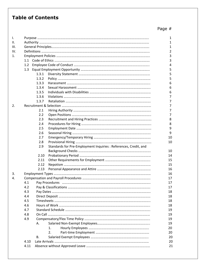# **Table of Contents**

| ı.  |      |       |                                                                  | 1  |
|-----|------|-------|------------------------------------------------------------------|----|
| Ш.  |      |       |                                                                  |    |
| Ш.  |      |       |                                                                  |    |
| IV. |      |       |                                                                  |    |
| 1.  |      | 3     |                                                                  |    |
|     |      |       |                                                                  | 3  |
|     |      |       |                                                                  | 4  |
|     |      |       |                                                                  | 5  |
|     |      | 1.3.1 |                                                                  | 5  |
|     |      | 1.3.2 |                                                                  | 5  |
|     |      | 1.3.3 |                                                                  | 6  |
|     |      | 1.3.4 |                                                                  | 6  |
|     |      | 1.3.5 |                                                                  | 6  |
|     |      | 1.3.6 |                                                                  | 7  |
|     |      | 1.3.7 |                                                                  | 7  |
| 2.  |      |       |                                                                  | 7  |
|     |      | 2.1   |                                                                  | 7  |
|     |      | 2.2   |                                                                  | 7  |
|     |      | 2.3   |                                                                  | 8  |
|     |      | 2.4   |                                                                  | 8  |
|     |      | 2.5   |                                                                  | 9  |
|     |      | 2.6   |                                                                  | 9  |
|     |      | 2.7   |                                                                  | 10 |
|     |      | 2.8   |                                                                  | 10 |
|     |      | 2.9   | Standards for Pre-Employment Inquiries : References, Credit, and |    |
|     |      |       |                                                                  | 10 |
|     |      | 2.10  |                                                                  | 14 |
|     |      | 2.11  |                                                                  | 15 |
|     |      | 2.12  |                                                                  | 15 |
|     |      | 2.13  |                                                                  | 16 |
| 3.  |      |       |                                                                  | 16 |
| 4.  |      |       |                                                                  | 17 |
|     | 4.1  |       |                                                                  | 17 |
|     | 4.2  |       |                                                                  | 17 |
|     | 4.3  |       |                                                                  | 18 |
|     | 4.4  |       |                                                                  | 18 |
|     | 4.5  |       |                                                                  | 18 |
|     | 4.6  |       |                                                                  | 18 |
|     | 4.7  |       |                                                                  | 19 |
|     | 4.8  |       |                                                                  | 19 |
|     | 4.9  |       |                                                                  | 19 |
|     |      | А.    |                                                                  | 19 |
|     |      |       | 1.                                                               | 20 |
|     |      |       | 2.                                                               | 20 |
|     |      | В.    |                                                                  | 20 |
|     | 4.10 |       |                                                                  | 20 |
|     | 4.11 |       |                                                                  | 21 |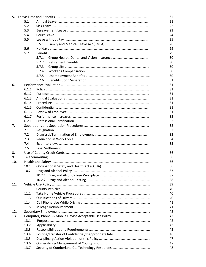|     |       |       | 21 |
|-----|-------|-------|----|
|     | 5.1   |       |    |
|     | 5.2   |       |    |
|     | 5.3   |       | 23 |
|     | 5.4   |       |    |
|     | 5.5   |       | 25 |
|     |       | 5.5.1 | 26 |
|     | 5.6   |       | 29 |
|     | 5.7   |       | 29 |
|     |       | 5.7.1 | 30 |
|     |       | 5.7.2 | 30 |
|     |       | 5.7.3 | 30 |
|     |       | 5.7.4 | 30 |
|     |       | 5.7.5 | 30 |
|     |       | 5.7.6 | 31 |
| 6.  |       |       | 31 |
|     | 6.1.1 |       | 31 |
|     | 6.1.2 |       | 31 |
|     | 6.1.3 |       | 31 |
|     | 6.1.4 |       | 31 |
|     | 6.1.5 |       | 31 |
|     | 6.1.6 |       | 31 |
|     | 6.1.7 |       |    |
|     |       |       | 32 |
|     | 6.2.1 |       | 32 |
| 7.  |       |       | 32 |
|     | 7.1   |       | 32 |
|     | 7.2   |       | 32 |
|     | 7.3   |       | 34 |
|     | 7.4   |       | 35 |
|     | 7.5   |       | 35 |
| 8.  |       |       | 36 |
| 9.  |       |       | 36 |
| 10. |       |       | 36 |
|     | 10.1  |       | 36 |
|     | 10.2  |       | 37 |
|     |       |       | 37 |
|     |       |       | 38 |
| 11. |       |       | 39 |
|     | 11.1  |       | 40 |
|     | 11.2  |       | 40 |
|     | 11.3  |       | 40 |
|     | 11.4  |       | 41 |
|     | 11.5  |       | 41 |
| 12. |       |       | 42 |
| 13. |       |       |    |
|     | 13.1  |       | 42 |
|     | 13.2  |       | 43 |
|     | 13.3  |       | 43 |
|     | 13.4  |       | 46 |
|     | 13.5  |       | 47 |
|     | 13.6  |       | 47 |
|     | 13.7  |       | 48 |
|     |       |       |    |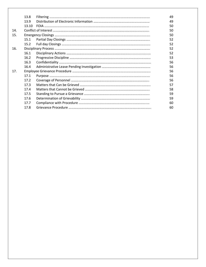|     | 13.8  |  | 49 |  |
|-----|-------|--|----|--|
|     | 13.9  |  | 49 |  |
|     | 13.10 |  | 50 |  |
| 14. |       |  |    |  |
| 15. |       |  |    |  |
|     | 15.1  |  | 52 |  |
|     | 15.2  |  | 52 |  |
| 16. |       |  | 52 |  |
|     | 16.1  |  | 52 |  |
|     | 16.2  |  | 53 |  |
|     | 16.3  |  | 56 |  |
|     | 16.4  |  | 56 |  |
| 17. |       |  | 56 |  |
|     | 17.1  |  | 56 |  |
|     | 17.2  |  | 56 |  |
|     | 17.3  |  | 57 |  |
|     | 17.4  |  | 58 |  |
|     | 17.5  |  | 59 |  |
|     | 17.6  |  | 59 |  |
|     | 17.7  |  | 60 |  |
|     | 17.8  |  | 60 |  |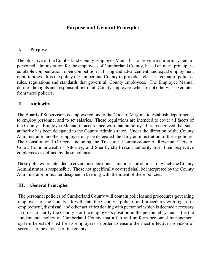# **Purpose and General Principles**

## **I. Purpose**

The objective of the Cumberland County Employee Manual is to provide a uniform system of personnel administration for the employees of Cumberland County, based on merit principles, equitable compensation, open competition in hiring and advancement, and equal employment opportunities. It is the policy of Cumberland County to provide a clear statement of policies, rules, regulations and standards that govern all County employees. The Employee Manual defines the rights and responsibilities of all County employees who are not otherwise exempted from these policies.

## **II. Authority**

The Board of Supervisors is empowered under the Code of Virginia to establish departments, to employ personnel and to set salaries. These regulations are intended to cover all facets of the County's Employee Manual in accordance with that authority. It is recognized that such authority has been delegated to the County Administrator. Under the direction of the County Administrator, another employee may be delegated the daily administration of these policies. The Constitutional Officers, including the Treasurer, Commissioner of Revenue, Clerk of Court, Commonwealth's Attorney, and Sheriff, shall retain authority over their respective employees as defined by these policies.

These policies are intended to cover most personnel situations and actions for which the County Administrator is responsible. Those not specifically covered shall be interpreted by the County Administrator or his/her designee in keeping with the intent of these policies.

## **III. General Principles**

The personnel policies of Cumberland County will contain policies and procedures governing employees of the County. It will state the County's policies and procedures with regard to employment, dismissal, and other activities dealing with personnel which is deemed necessary in order to clarify the County's or the employee's position in the personnel system. It is the fundamental policy of Cumberland County that a fair and uniform personnel management system be established for its employees in order to ensure the most effective provision of services to the citizens of the county.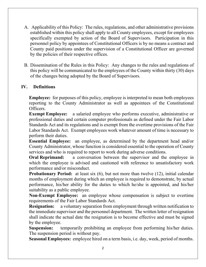- A. Applicability of this Policy: The rules, regulations, and other administrative provisions established within this policy shall apply to all County employees, except for employees specifically exempted by action of the Board of Supervisors. Participation in this personnel policy by appointees of Constitutional Officers is by no means a contract and County paid positions under the supervision of a Constitutional Officer are governed by the policies of their respective offices.
- B. Dissemination of the Rules in this Policy: Any changes to the rules and regulations of this policy will be communicated to the employees of the County within thirty (30) days of the changes being adopted by the Board of Supervisors.

### **IV. Definitions**

**Employee:** for purposes of this policy, employee is interpreted to mean both employees reporting to the County Administrator as well as appointees of the Constitutional Officers.

**Exempt Employee:** a salaried employee who performs executive, administrative or professional duties and certain computer professionals as defined under the Fair Labor Standards Act and its regulations and is exempt from the overtime provisions of the Fair Labor Standards Act. Exempt employees work whatever amount of time is necessary to perform their duties.

**Essential Employee:** an employee, as determined by the department head and/or County Administrator, whose function is considered essential to the operation of County services and who is required to report to work during adverse conditions.

**Oral Reprimand:** a conversation between the supervisor and the employee in which the employee is advised and cautioned with reference to unsatisfactory work performance and/or misconduct.

**Probationary Period:** at least six (6), but not more than twelve (12), initial calendar months of employment during which an employee is required to demonstrate, by actual performance, his/her ability for the duties to which he/she is appointed, and his/her suitability as a public employee.

**Non-Exempt Employee:** an employee whose compensation is subject to overtime requirements of the Fair Labor Standards Act.

**Resignation:** a voluntary separation from employment through written notification to the immediate supervisor and the personnel department. The written letter of resignation shall indicate the actual date the resignation is to become effective and must be signed by the employee.

**Suspension:** temporarily prohibiting an employee from performing his/her duties. The suspension period is without pay.

**Seasonal Employees:** employee hired on a term basis, i.e. day, week, period of months.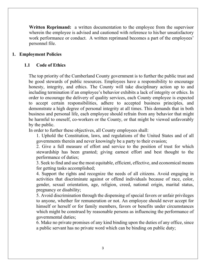**Written Reprimand:** a written documentation to the employee from the supervisor wherein the employee is advised and cautioned with reference to his/her unsatisfactory work performance or conduct. A written reprimand becomes a part of the employees' personnel file.

#### **1. Employment Policies**

#### **1.1 Code of Ethics**

The top priority of the Cumberland County government is to further the public trust and be good stewards of public resources. Employees have a responsibility to encourage honesty, integrity, and ethics. The County will take disciplinary action up to and including termination if an employee's behavior exhibits a lack of integrity or ethics. In order to encourage the delivery of quality services, each County employee is expected to accept certain responsibilities, adhere to accepted business principles, and demonstrate a high degree of personal integrity at all times. This demands that in both business and personal life, each employee should refrain from any behavior that might be harmful to oneself, co-workers or the County, or that might be viewed unfavorably by the public.

In order to further these objectives, all County employees shall:

1. Uphold the Constitution, laws, and regulations of the United States and of all governments therein and never knowingly be a party to their evasion;

2. Give a full measure of effort and service to the position of trust for which stewardship has been granted; giving earnest effort and best thought to the performance of duties;

3. Seek to find and use the most equitable, efficient, effective, and economical means for getting tasks accomplished;

4. Support the rights and recognize the needs of all citizens. Avoid engaging in activities that discriminate against or offend individuals because of race, color, gender, sexual orientation, age, religion, creed, national origin, marital status, pregnancy or disability;

5. Avoid discrimination through the dispensing of special favors or unfair privileges to anyone, whether for remuneration or not. An employee should never accept for himself or herself or for family members, favors or benefits under circumstances which might be construed by reasonable persons as influencing the performance of governmental duties;

6. Make no private promises of any kind binding upon the duties of any office, since a public servant has no private word which can be binding on public duty;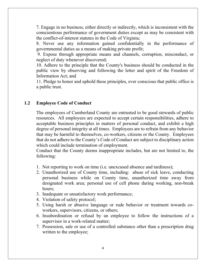7. Engage in no business, either directly or indirectly, which is inconsistent with the conscientious performance of government duties except as may be consistent with the conflict-of-interest statutes in the Code of Virginia;

8. Never use any information gained confidentially in the performance of governmental duties as a means of making private profit;

 9. Expose through appropriate means and channels, corruption, misconduct, or neglect of duty whenever discovered;

10. Adhere to the principle that the County's business should be conducted in the public view by observing and following the letter and spirit of the Freedom of Information Act; and

11. Pledge to honor and uphold these principles, ever conscious that public office is a public trust.

#### **1.2 Employee Code of Conduct**

The employees of Cumberland County are entrusted to be good stewards of public resources. All employees are expected to accept certain responsibilities, adhere to acceptable business principles in matters of personal conduct, and exhibit a high degree of personal integrity at all times. Employees are to refrain from any behavior that may be harmful to themselves, co-workers, citizens or the County. Employees that do not adhere to the County's Code of Conduct are subject to disciplinary action which could include termination of employment.

Conduct that the County deems inappropriate includes, but are not limited to, the following:

- 1. Not reporting to work on time (i.e. unexcused absence and tardiness);
- 2. Unauthorized use of County time, including: abuse of sick leave, conducting personal business while on County time, unauthorized time away from designated work area; personal use of cell phone during working, non-break hours;
- 3. Inadequate or unsatisfactory work performance;
- 4. Violation of safety protocol;
- 5. Using harsh or abusive language or rude behavior or treatment towards coworkers, supervisors, citizens, or others;
- 6. Insubordination or refusal by an employee to follow the instructions of a supervisor in a work-related matter;
- 7. Possession, sale or use of a controlled substance other than a prescription drug written to the employee;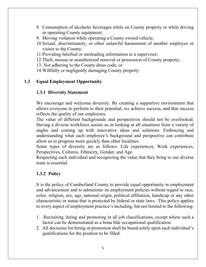- 8. Consumption of alcoholic beverages while on County property or while driving or operating County equipment;
- 9. Moving violation while operating a County owned vehicle;
- 10.Sexual, discriminatory, or other unlawful harassment of another employee or visitor to the County;
- 11.Providing falsified or misleading information to a supervisor;
- 12.Theft, misuse or unauthorized removal or possession of County property;
- 13. Not adhering to the County dress code; or
- 14.Willfully or negligently damaging County property

## **1.3 Equal Employment Opportunity**

## **1.3.1 Diversity Statement**

We encourage and welcome diversity. By creating a supportive environment that allows everyone to perform to their potential, we achieve success, and that success reflects the quality of our employees.

The value of different backgrounds and perspectives should not be overlooked. Having a diverse workforce assists us in looking at all situations from a variety of angles and coming up with innovative ideas and solutions. Embracing and understanding what each employee's background and perspective can contribute allow us to progress more quickly than other localities.

Some types of diversity are as follows: Life experiences, Work experiences, Perspectives, Cultures, Ethnicity, Gender, and Age.

Respecting each individual and recognizing the value that they bring to our diverse team is essential.

### **1.3.2 Policy**

It is the policy of Cumberland County to provide equal opportunity in employment and advancement and to administer its employment policies without regard to race, color, religion, sex, age, national origin, political affiliation, handicap or any other characteristic or status that is protected by federal or state laws. This policy applies to every aspect of employment practice's including, but not limited to the following:

- 1. Recruiting, hiring and promoting in all job classifications, except where such a factor can be demonstrated as a bona fide occupational qualification.
- 2. All decisions for hiring or promotion shall be based solely upon each individual's qualifications for the position to be filled.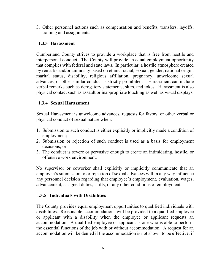3. Other personnel actions such as compensation and benefits, transfers, layoffs, training and assignments.

### **1.3.3 Harassment**

Cumberland County strives to provide a workplace that is free from hostile and interpersonal conduct. The County will provide an equal employment opportunity that complies with federal and state laws. In particular, a hostile atmosphere created by remarks and/or animosity based on ethnic, racial, sexual, gender, national origin, marital status, disability, religious affiliation, pregnancy, unwelcome sexual advances, or other similar conduct is strictly prohibited. Harassment can include verbal remarks such as derogatory statements, slurs, and jokes. Harassment is also physical contact such as assault or inappropriate touching as well as visual displays.

#### **1.3.4 Sexual Harassment**

Sexual Harassment is unwelcome advances, requests for favors, or other verbal or physical conduct of sexual nature when:

- 1. Submission to such conduct is either explicitly or implicitly made a condition of employment;
- 2. Submission or rejection of such conduct is used as a basis for employment decisions; or
- 3. The conduct is severe or pervasive enough to create an intimidating, hostile, or offensive work environment.

No supervisor or coworker shall explicitly or implicitly communicate that an employee's submission to or rejection of sexual advances will in any way influence any personnel decision regarding that employee's employment, evaluation, wages, advancement, assigned duties, shifts, or any other conditions of employment.

### **1.3.5 Individuals with Disabilities**

The County provides equal employment opportunities to qualified individuals with disabilities. Reasonable accommodations will be provided to a qualified employee or applicant with a disability when the employee or applicant requests an accommodation. A qualified employee or applicant is one who is able to perform the essential functions of the job with or without accommodation. A request for an accommodation will be denied if the accommodation is not shown to be effective, if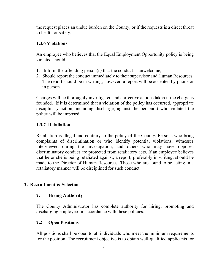the request places an undue burden on the County, or if the requests is a direct threat to health or safety.

### **1.3.6 Violations**

An employee who believes that the Equal Employment Opportunity policy is being violated should:

- 1. Inform the offending person(s) that the conduct is unwelcome;
- 2. Should report the conduct immediately to their supervisor and Human Resources. The report should be in writing; however, a report will be accepted by phone or in person.

Charges will be thoroughly investigated and corrective actions taken if the charge is founded. If it is determined that a violation of the policy has occurred, appropriate disciplinary action, including discharge, against the person(s) who violated the policy will be imposed.

## **1.3.7 Retaliation**

Retaliation is illegal and contrary to the policy of the County. Persons who bring complaints of discrimination or who identify potential violations, witnesses interviewed during the investigation, and others who may have opposed discriminatory conduct are protected from retaliatory acts. If an employee believes that he or she is being retaliated against, a report, preferably in writing, should be made to the Director of Human Resources. Those who are found to be acting in a retaliatory manner will be disciplined for such conduct.

### **2. Recruitment & Selection**

### **2.1 Hiring Authority**

The County Administrator has complete authority for hiring, promoting and discharging employees in accordance with these policies.

### **2.2 Open Positions**

All positions shall be open to all individuals who meet the minimum requirements for the position. The recruitment objective is to obtain well-qualified applicants for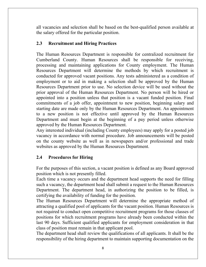all vacancies and selection shall be based on the best-qualified person available at the salary offered for the particular position.

## **2.3 Recruitment and Hiring Practices**

The Human Resources Department is responsible for centralized recruitment for Cumberland County. Human Resources shall be responsible for receiving, processing and maintaining applications for County employment. The Human Resources Department will determine the methods by which recruitment is conducted for approved vacant positions. Any tests administered as a condition of employment or to aid in making a selection shall be approved by the Human Resources Department prior to use. No selection device will be used without the prior approval of the Human Resources Department. No person will be hired or appointed into a position unless that position is a vacant funded position. Final commitments of a job offer, appointment to new position, beginning salary and starting date are made only by the Human Resources Department. An appointment to a new position is not effective until approved by the Human Resources Department and must begin at the beginning of a pay period unless otherwise approved by the Human Resources Department.

Any interested individual (including County employees) may apply for a posted job vacancy in accordance with normal procedure. Job announcements will be posted on the county website as well as in newspapers and/or professional and trade websites as approved by the Human Resources Department.

## **2.4 Procedures for Hiring**

For the purposes of this section, a vacant position is defined as any Board approved position which is not presently filled.

Each time a vacancy occurs and the department head supports the need for filling such a vacancy, the department head shall submit a request to the Human Resources Department. The department head, in authorizing the position to be filled, is certifying the availability of funding for the position.

The Human Resources Department will determine the appropriate method of attracting a qualified pool of applicants for the vacant position. Human Resources is not required to conduct open competitive recruitment programs for those classes of positions for which recruitment programs have already been conducted within the last 90 days. Sufficient qualified applicants for employment consideration in that class of position must remain in that applicant pool.

The department head shall review the qualifications of all applicants. It shall be the responsibility of the hiring department to maintain supporting documentation on the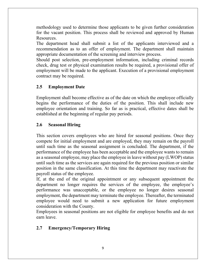methodology used to determine those applicants to be given further consideration for the vacant position. This process shall be reviewed and approved by Human Resources.

The department head shall submit a list of the applicants interviewed and a recommendation as to an offer of employment. The department shall maintain appropriate documentation of the screening and interview process.

Should post selection, pre-employment information, including criminal records check, drug test or physical examination results be required, a provisional offer of employment will be made to the applicant. Execution of a provisional employment contract may be required.

## **2.5 Employment Date**

Employment shall become effective as of the date on which the employee officially begins the performance of the duties of the position. This shall include new employee orientation and training. So far as is practical, effective dates shall be established at the beginning of regular pay periods.

## **2.6 Seasonal Hiring**

This section covers employees who are hired for seasonal positions. Once they compete for initial employment and are employed, they may remain on the payroll until such time as the seasonal assignment is concluded. The department, if the performance of the employee has been acceptable and the employee wants to remain as a seasonal employee, may place the employee in leave without pay (LWOP) status until such time as the services are again required for the previous position or similar position in the same classification. At this time the department may reactivate the payroll status of the employee.

If, at the end of the original appointment or any subsequent appointment the department no longer requires the services of the employee, the employee's performance was unacceptable, or the employee no longer desires seasonal employment, the department may terminate the employee. Thereafter, the terminated employee would need to submit a new application for future employment consideration with the County.

Employees in seasonal positions are not eligible for employee benefits and do not earn leave.

### **2.7 Emergency/Temporary Hiring**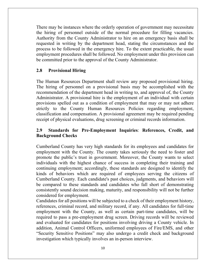There may be instances where the orderly operation of government may necessitate the hiring of personnel outside of the normal procedure for filling vacancies. Authority from the County Administrator to hire on an emergency basis shall be requested in writing by the department head, stating the circumstances and the process to be followed in the emergency hire. To the extent practicable, the usual employment procedures shall be followed. No employment under this provision can be committed prior to the approval of the County Administrator.

#### **2.8 Provisional Hiring**

The Human Resources Department shall review any proposed provisional hiring. The hiring of personnel on a provisional basis may be accomplished with the recommendation of the department head in writing to, and approval of, the County Administrator. A provisional hire is the employment of an individual with certain provisions spelled out as a condition of employment that may or may not adhere strictly to the County Human Resources Policies regarding employment, classification and compensation. A provisional agreement may be required pending receipt of physical evaluations, drug screening or criminal records information.

## **2.9 Standards for Pre-Employment Inquiries**: **References, Credit, and Background Checks**

Cumberland County has very high standards for its employees and candidates for employment with the County. The county takes seriously the need to foster and promote the public's trust in government. Moreover, the County wants to select individuals with the highest chance of success in completing their training and continuing employment; accordingly, these standards are designed to identify the kinds of behaviors which are required of employees serving the citizens of Cumberland County. Each candidate's past choices, judgments, and behaviors will be compared to these standards and candidates who fall short of demonstrating consistently sound decision making, maturity, and responsibility will not be further considered for employment.

Candidates for all positions will be subjected to a check of their employment history, references, criminal record, and military record, if any. All candidates for full-time employment with the County, as well as certain part-time candidates, will be required to pass a pre-employment drug screen. Driving records will be reviewed and evaluated for candidates for positions involving driving a County vehicle. In addition, Animal Control Officers, uniformed employees of Fire/EMS, and other "Security Sensitive Positions" may also undergo a credit check and background investigation which typically involves an in-person interview.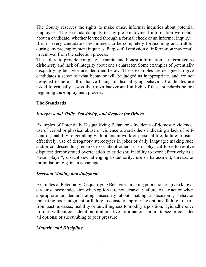The County reserves the rights to make other, informal inquiries about potential employees. These standards apply to any pre-employment information we obtain about a candidate, whether learned through a formal check or an informal inquiry. It is in every candidate's best interest to be completely forthcoming and truthful during any preemployment inquiries. Purposeful omission of information may result in removal from the selection process.

The failure to provide complete, accurate, and honest information is interpreted as dishonesty and lack of integrity about one's character. Some examples of potentially disqualifying behavior are identified below. These examples are designed to give candidates a sense of what behavior will be judged as inappropriate, and are not designed to be an all-inclusive listing of disqualifying behavior. Candidates are asked to critically assess their own background in light of these standards before beginning the employment process.

#### **The Standards**

#### *Interpersonal Skills, Sensitivity, and Respect for Others*

Examples of Potentially Disqualifying Behavior - Incidents of domestic violence; use of verbal or physical abuse or violence toward others indicating a lack of selfcontrol; inability to get along with others in work or personal life; failure to listen effectively; use of derogatory stereotypes in jokes or daily language; making rude and/or condescending remarks to or about others; use of physical force to resolve disputes; demonstrated overreaction to criticism; inability to work effectively as a "team player"; disruptive/challenging to authority; use of harassment, threats, or intimidation to gain an advantage.

#### *Decision Making and Judgment*

Examples of Potentially Disqualifying Behavior - making poor choices given known circumstances; indecision when options are not clear-cut; failure to take action when appropriate or demonstrating insecurity about making a decision ; behavior indicating poor judgment or failure to consider appropriate options; failure to learn from past mistakes; inability or unwillingness to modify a position; rigid adherence to rules without consideration of alternative information; failure to see or consider all options; or succumbing to peer pressure.

#### *Maturity and Discipline*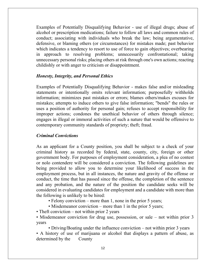Examples of Potentially Disqualifying Behavior - use of illegal drugs; abuse of alcohol or prescription medications; failure to follow all laws and common rules of conduct; associating with individuals who break the law; being argumentative, defensive, or blaming others (or circumstances) for mistakes made; past behavior which indicates a tendency to resort to use of force to gain objectives; overbearing in approach to resolving problems; unnecessarily confrontational; taking unnecessary personal risks; placing others at risk through one's own actions; reacting childishly or with anger to criticism or disappointment.

#### *Honesty, Integrity, and Personal Ethics*

Examples of Potentially Disqualifying Behavior - makes false and/or misleading statements or intentionally omits relevant information; purposefully withholds information; minimizes past mistakes or errors; blames others/makes excuses for mistakes; attempts to induce others to give false information; "bends" the rules or uses a position of authority for personal gain; refuses to accept responsibility for improper actions; condones the unethical behavior of others through silence; engages in illegal or immoral activities of such a nature that would be offensive to contemporary community standards of propriety; theft; fraud.

#### *Criminal Convictions*

As an applicant for a County position, you shall be subject to a check of your criminal history as recorded by federal, state, county, city, foreign or other government body. For purposes of employment consideration, a plea of no contest or nolo contendere will be considered a conviction. The following guidelines are being provided to allow you to determine your likelihood of success in the employment process, but in all instances, the nature and gravity of the offense or conduct, the time that has passed since the offense, the completion of the sentence and any probation, and the nature of the position the candidate seeks will be considered in evaluating candidates for employment and a candidate with more than the following is unlikely to be hired:

• Felony conviction – more than 1, none in the prior 5 years;

• Misdemeanor conviction – more than 1 in the prior 5 years;

• Theft conviction – not within prior 2 years

• Misdemeanor conviction for drug use, possession, or sale – not within prior 3 years

• Driving/Boating under the influence conviction – not within prior 3 years • A history of use of marijuana or alcohol that displays a pattern of abuse, as determined by the County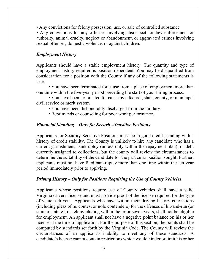• Any convictions for felony possession, use, or sale of controlled substance

• Any convictions for any offenses involving disrespect for law enforcement or authority, animal cruelty, neglect or abandonment, or aggravated crimes involving sexual offenses, domestic violence, or against children.

#### *Employment History*

Applicants should have a stable employment history. The quantity and type of employment history required is position-dependent. You may be disqualified from consideration for a position with the County if any of the following statements is true:

• You have been terminated for cause from a place of employment more than one time within the five-year period preceding the start of your hiring process.

• You have been terminated for cause by a federal, state, county, or municipal civil service or merit system

- You have been dishonorably discharged from the military.
- Reprimands or counseling for poor work performance.

#### *Financial Standing – Only for Security-Sensitive Positions*

Applicants for Security-Sensitive Positions must be in good credit standing with a history of credit stability. The County is unlikely to hire any candidate who has a current garnishment, bankruptcy (unless only within the repayment plan), or debt currently assigned to collections, but the county will review the circumstances to determine the suitability of the candidate for the particular position sought. Further, applicants must not have filed bankruptcy more than one time within the ten-year period immediately prior to applying.

#### *Driving History – Only for Positions Requiring the Use of County Vehicles*

Applicants whose positions require use of County vehicles shall have a valid Virginia driver's license and must provide proof of the license required for the type of vehicle driven. Applicants who have within their driving history convictions (including pleas of no contest or nolo contendere) for the offenses of hit-and-run (or similar statute), or felony eluding within the prior seven years, shall not be eligible for employment. An applicant shall not have a negative point balance on his or her license at the time of application. For the purpose of this section, the points shall be computed by standards set forth by the Virginia Code. The County will review the circumstances of an applicant's inability to meet any of these standards. A candidate's license cannot contain restrictions which would hinder or limit his or her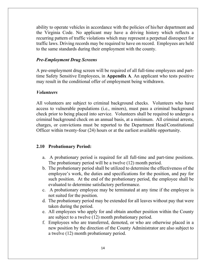ability to operate vehicles in accordance with the policies of his/her department and the Virginia Code. No applicant may have a driving history which reflects a recurring pattern of traffic violations which may represent a perpetual disrespect for traffic laws. Driving records may be required to have on record. Employees are held to the same standards during their employment with the county.

#### *Pre-Employment Drug Screens*

A pre-employment drug screen will be required of all full-time employees and parttime Safety Sensitive Employees, in **Appendix A**. An applicant who tests positive may result in the conditional offer of employment being withdrawn.

#### *Volunteers*

All volunteers are subject to criminal background checks. Volunteers who have access to vulnerable populations (i.e., minors), must pass a criminal background check prior to being placed into service. Volunteers shall be required to undergo a criminal background check on an annual basis, at a minimum. All criminal arrests, charges, or convictions must be reported to the Department Head/Constitutional Officer within twenty-four (24) hours or at the earliest available opportunity.

#### **2.10 Probationary Period:**

- a. A probationary period is required for all full-time and part-time positions. The probationary period will be a twelve (12) month period.
- b. The probationary period shall be utilized to determine the effectiveness of the employee's work, the duties and specifications for the position, and pay for such position. At the end of the probationary period, the employee shall be evaluated to determine satisfactory performance.
- c. A probationary employee may be terminated at any time if the employee is not suited for the position.
- d. The probationary period may be extended for all leaves without pay that were taken during the period.
- e. All employees who apply for and obtain another position within the County are subject to a twelve (12) month probationary period.
- f. Employees who are transferred, demoted, or who are otherwise placed in a new position by the direction of the County Administrator are also subject to a twelve (12) month probationary period.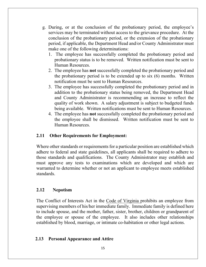- g. During, or at the conclusion of the probationary period, the employee's services may be terminated without access to the grievance procedure. At the conclusion of the probationary period, or the extension of the probationary period, if applicable, the Department Head and/or County Administrator must make one of the following determinations:
	- 1. The employee has successfully completed the probationary period and probationary status is to be removed. Written notification must be sent to Human Resources.
	- 2. The employee has **not** successfully completed the probationary period and the probationary period is to be extended up to six (6) months. Written notification must be sent to Human Resources.
	- 3. The employee has successfully completed the probationary period and in addition to the probationary status being removed, the Department Head and County Administrator is recommending an increase to reflect the quality of work shown. A salary adjustment is subject to budgeted funds being available. Written notifications must be sent to Human Resources.
	- 4. The employee has **not** successfully completed the probationary period and the employee shall be dismissed. Written notification must be sent to Human Resources.

#### **2.11 Other Requirements for Employment:**

Where other standards or requirements for a particular position are established which adhere to federal and state guidelines, all applicants shall be required to adhere to those standards and qualifications. The County Administrator may establish and must approve any tests to examinations which are developed and which are warranted to determine whether or not an applicant to employee meets established standards.

#### **2.12 Nepotism**

The Conflict of Interests Act in the Code of Virginia prohibits an employee from supervising members of his/her immediate family. Immediate family is defined here to include spouse, and the mother, father, sister, brother, children or grandparent of the employee or spouse of the employee. It also includes other relationships established by blood, marriage, or intimate co-habitation or other legal actions.

#### **2.13 Personal Appearance and Attire**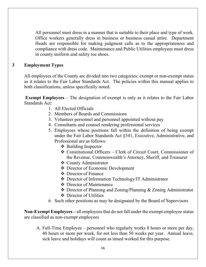All personnel must dress in a manner that is suitable to their place and type of work. Office workers generally dress in business or business casual attire. Department Heads are responsible for making judgment calls as to the appropriateness and compliance with dress code. Maintenance and Public Utilities employees must dress in county uniform and safety toe shoes.

#### **3 Employment Types**

All employees of the County are divided into two categories: exempt or non-exempt status as it relates to the Fair Labor Standards Act. The policies within this manual applies to both classifications, unless specifically noted.

**Exempt Employees** – The designation of exempt is only as it relates to the Fair Labor Standards Act:

- 1. All Elected Officials
- 2. Members of Boards and Commissions
- 3. Volunteer personnel and personnel appointed without pay
- 4. Consultants and counsel rendering professional services
- 5. Employees whose positions fall within the definition of being exempt under the Fair Labor Standards Act §541, Executive, Administrative, and Professional are as follows:
	- ❖ Building Inspector
	- Constitutional Officers Clerk of Circuit Court, Commissioner of the Revenue, Commonwealth's Attorney, Sheriff, and Treasurer
	- County Administrator
	- Director of Economic Development
	- Director of Finance
	- Director of Information Technology/IT Administrator
	- Director of Maintenance
	- Director of Planning and Zoning/Planning & Zoning Administrator
	- ❖ Director of Utilities
- 6. Such other positions as may be designated by the Board of Supervisors

**Non-Exempt Employees –** all employees that do not fall under the exempt employee status are classified as non-exempt employees

A. Full-Time Employee – personnel who regularly works 8 hours or more per day, 40 hours or more per week, for not less than 50 weeks per year. Annual leave, sick leave and holidays will count as timed worked for this purpose.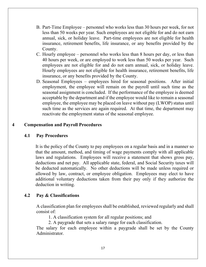- B. Part-Time Employee personnel who works less than 30 hours per week, for not less than 50 weeks per year. Such employees are not eligible for and do not earn annual, sick, or holiday leave. Part-time employees are not eligible for health insurance, retirement benefits, life insurance, or any benefits provided by the County.
- C. Hourly employee personnel who works less than 8 hours per day, or less than 40 hours per week, or are employed to work less than 50 weeks per year. Such employees are not eligible for and do not earn annual, sick, or holiday leave. Hourly employees are not eligible for health insurance, retirement benefits, life insurance, or any benefits provided by the County.
- D. Seasonal Employees employees hired for seasonal positions. After initial employment, the employee will remain on the payroll until such time as the seasonal assignment is concluded. If the performance of the employee is deemed acceptable by the department and if the employee would like to remain a seasonal employee, the employee may be placed on leave without pay (LWOP) status until such time as the services are again required. At that time, the department may reactivate the employment status of the seasonal employee.

#### **4 Compensation and Payroll Procedures**

#### **4.1 Pay Procedures**

It is the policy of the County to pay employees on a regular basis and in a manner so that the amount, method, and timing of wage payments comply with all applicable laws and regulations. Employees will receive a statement that shows gross pay, deductions and net pay. All applicable state, federal, and Social Security taxes will be deducted automatically. No other deductions will be made unless required or allowed by law, contract, or employee obligation. Employees may elect to have additional voluntary deductions taken from their pay only if they authorize the deduction in writing.

#### **4.2 Pay & Classifications**

A classification plan for employees shall be established, reviewed regularly and shall consist of:

1. A classification system for all regular positions; and

2. A paygrade that sets a salary range for each classification.

The salary for each employee within a paygrade shall be set by the County Administrator.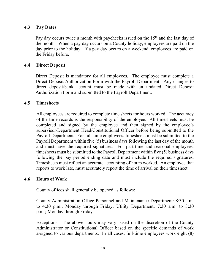#### **4.3 Pay Dates**

Pay day occurs twice a month with paychecks issued on the  $15<sup>th</sup>$  and the last day of the month. When a pay day occurs on a County holiday, employees are paid on the day prior to the holiday. If a pay day occurs on a weekend, employees are paid on the Friday before.

#### **4.4 Direct Deposit**

Direct Deposit is mandatory for all employees. The employee must complete a Direct Deposit Authorization Form with the Payroll Department. Any changes to direct deposit/bank account must be made with an updated Direct Deposit Authorization Form and submitted to the Payroll Department.

#### **4.5 Timesheets**

All employees are required to complete time sheets for hours worked. The accuracy of the time records is the responsibility of the employee. All timesheets must be completed and signed by the employee and then signed by the employee's supervisor/Department Head/Constitutional Officer before being submitted to the Payroll Department. For full-time employees, timesheets must be submitted to the Payroll Department within five (5) business days following the last day of the month and must have the required signatures. For part-time and seasonal employees, timesheets must be submitted to the Payroll Department within five (5) business days following the pay period ending date and must include the required signatures. Timesheets must reflect an accurate accounting of hours worked. An employee that reports to work late, must accurately report the time of arrival on their timesheet.

#### **4.6 Hours of Work**

County offices shall generally be opened as follows:

County Administration Office Personnel and Maintenance Department: 8:30 a.m. to 4:30 p.m.; Monday through Friday. Utility Department: 7:30 a.m. to 3:30 p.m.; Monday through Friday.

Exceptions: The above hours may vary based on the discretion of the County Administrator or Constitutional Officer based on the specific demands of work assigned to various departments. In all cases, full-time employees work eight (8)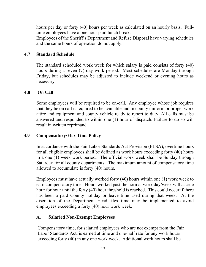hours per day or forty (40) hours per week as calculated on an hourly basis. Fulltime employees have a one hour paid lunch break.

Employees of the Sheriff's Department and Refuse Disposal have varying schedules and the same hours of operation do not apply.

#### **4.7 Standard Schedule**

The standard scheduled work week for which salary is paid consists of forty (40) hours during a seven (7) day work period. Most schedules are Monday through Friday, but schedules may be adjusted to include weekend or evening hours as necessary.

#### **4.8 On Call**

Some employees will be required to be on-call. Any employee whose job requires that they be on call is required to be available and in county uniform or proper work attire and equipment and county vehicle ready to report to duty. All calls must be answered and responded to within one (1) hour of dispatch. Failure to do so will result in written reprimand.

#### **4.9 Compensatory/Flex Time Policy**

In accordance with the Fair Labor Standards Act Provision (FLSA), overtime hours for all eligible employees shall be defined as work hours exceeding forty (40) hours in a one (1) week work period. The official work week shall be Sunday through Saturday for all county departments. The maximum amount of compensatory time allowed to accumulate is forty (40) hours.

Employees must have actually worked forty (40) hours within one (1) work week to earn compensatory time. Hours worked past the normal work day/week will accrue hour for hour until the forty (40) hour threshold is reached. This could occur if there has been a paid County holiday or leave time used during that week. At the discretion of the Department Head, flex time may be implemented to avoid employees exceeding a forty (40) hour work week.

### **A. Salaried Non-Exempt Employees**

Compensatory time, for salaried employees who are not exempt from the Fair Labor Standards Act, is earned at time and one-half rate for any work hours exceeding forty (40) in any one work week. Additional work hours shall be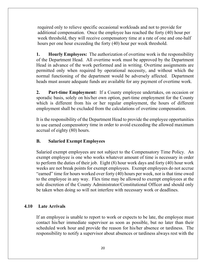required only to relieve specific occasional workloads and not to provide for additional compensation. Once the employee has reached the forty (40) hour per week threshold, they will receive compensatory time at a rate of one and one-half hours per one hour exceeding the forty (40) hour per week threshold.

**1. Hourly Employees:** The authorization of overtime work is the responsibility of the Department Head. All overtime work must be approved by the Department Head in advance of the work performed and in writing. Overtime assignments are permitted only when required by operational necessity, and without which the normal functioning of the department would be adversely affected. Department heads must assure adequate funds are available for any payment of overtime work.

**2. Part-time Employment:** If a County employee undertakes, on occasion or sporadic basis, solely on his/her own option, part-time employment for the County which is different from his or her regular employment, the hours of different employment shall be excluded from the calculations of overtime compensation.

It is the responsibility of the Department Head to provide the employee opportunities to use earned compensatory time in order to avoid exceeding the allowed maximum accrual of eighty (80) hours.

### **B. Salaried Exempt Employees**

Salaried exempt employees are not subject to the Compensatory Time Policy. An exempt employee is one who works whatever amount of time is necessary in order to perform the duties of their job. Eight (8) hour work days and forty (40) hour work weeks are not break points for exempt employees. Exempt employees do not accrue "earned" time for hours worked over forty (40) hours per week, nor is that time owed to the employee in any way. Flex time may be allowed to exempt employees at the sole discretion of the County Administrator/Constitutional Officer and should only be taken when doing so will not interfere with necessary work or deadlines.

### **4.10 Late Arrivals**

If an employee is unable to report to work or expects to be late, the employee must contact his/her immediate supervisor as soon as possible, but no later than their scheduled work hour and provide the reason for his/her absence or tardiness. The responsibility to notify a supervisor about absences or tardiness always rest with the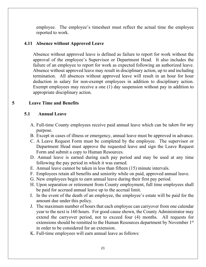employee. The employee's timesheet must reflect the actual time the employee reported to work.

#### **4.11 Absence without Approved Leave**

Absence without approved leave is defined as failure to report for work without the approval of the employee's Supervisor or Department Head. It also includes the failure of an employee to report for work as expected following an authorized leave. Absence without approved leave may result in disciplinary action, up to and including termination. All absences without approved leave will result in an hour for hour deduction in salary for non-exempt employees in addition to disciplinary action. Exempt employees may receive a one (1) day suspension without pay in addition to appropriate disciplinary action.

#### **5 Leave Time and Benefits**

#### **5.1 Annual Leave**

- A. Full-time County employees receive paid annual leave which can be taken for any purpose.
- B. Except in cases of illness or emergency, annual leave must be approved in advance.
- C. A Leave Request Form must be completed by the employee. The supervisor or Department Head must approve the requested leave and sign the Leave Request Form and submit a copy to Human Resources.
- D. Annual leave is earned during each pay period and may be used at any time following the pay period in which it was earned.
- E. Annual leave cannot be taken in less than fifteen (15) minute intervals.
- F. Employees retain all benefits and seniority while on paid, approved annual leave.
- G. New employees begin to earn annual leave during their first pay period.
- H. Upon separation or retirement from County employment, full time employees shall be paid for accrued annual leave up to the accrual limit.
- I. In the event of the death of an employee, the employee's estate will be paid for the amount due under this policy.
- J. The maximum number of hours that each employee can carryover from one calendar year to the next is 160 hours. For good cause shown, the County Administrator may extend the carryover period, not to exceed four (4) months. All requests for extensions should be remitted to the Human Resources department by November 1<sup>st</sup> in order to be considered for an extension.
- K. Full-time employees will earn annual leave as follows: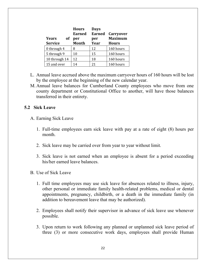| <b>Years</b><br><b>of</b><br><b>Service</b> | <b>Hours</b><br><b>Earned</b><br>per<br><b>Month</b> | <b>Days</b><br><b>Earned</b><br>per<br>Year | <b>Carryover</b><br><b>Maximum</b><br><b>Hours</b> |
|---------------------------------------------|------------------------------------------------------|---------------------------------------------|----------------------------------------------------|
| 0 through 4                                 | 8                                                    | 12                                          | 160 hours                                          |
| 5 through 9                                 | 10                                                   | 15                                          | 160 hours                                          |
| 10 through 14                               | 12                                                   | 18                                          | 160 hours                                          |
| 15 and over                                 | 14                                                   | 21                                          | 160 hours                                          |

- L. Annual leave accrued above the maximum carryover hours of 160 hours will be lost by the employee at the beginning of the new calendar year.
- M. Annual leave balances for Cumberland County employees who move from one county department or Constitutional Office to another, will have those balances transferred in their entirety.

#### **5.2 Sick Leave**

- A. Earning Sick Leave
	- 1. Full-time employees earn sick leave with pay at a rate of eight (8) hours per month.
	- 2. Sick leave may be carried over from year to year without limit.
	- 3. Sick leave is not earned when an employee is absent for a period exceeding his/her earned leave balances.
- B. Use of Sick Leave
	- 1. Full time employees may use sick leave for absences related to illness, injury, other personal or immediate family health-related problems, medical or dental appointments, pregnancy, childbirth, or a death in the immediate family (in addition to bereavement leave that may be authorized).
	- 2. Employees shall notify their supervisor in advance of sick leave use whenever possible.
	- 3. Upon return to work following any planned or unplanned sick leave period of three (3) or more consecutive work days, employees shall provide Human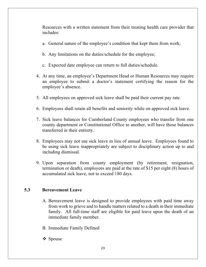Resources with a written statement from their treating health care provider that includes:

- a. General nature of the employee's condition that kept them from work;
- b. Any limitations on the duties/schedule for the employee;
- c. Expected date employee can return to full duties/schedule.
- 4. At any time, an employee's Department Head or Human Resources may require an employee to submit a doctor's statement certifying the reason for the employee's absence.
- 5. All employees on approved sick leave shall be paid their current pay rate.
- 6. Employees shall retain all benefits and seniority while on approved sick leave.
- 7. Sick leave balances for Cumberland County employees who transfer from one county department or Constitutional Office to another, will have those balances transferred in their entirety.
- 8. Employees may not use sick leave in lieu of annual leave. Employees found to be using sick leave inappropriately are subject to disciplinary action up to and including dismissal.
- 9. Upon separation from county employment (by retirement, resignation, termination or death), employees are paid at the rate of \$15 per eight (8) hours of accumulated sick leave, not to exceed 180 days.

### **5.3 Bereavement Leave**

- A. Bereavement leave is designed to provide employees with paid time away from work to grieve and to handle matters related to a death in their immediate family. All full-time staff are eligible for paid leave upon the death of an immediate family member.
- B. Immediate Family Defined
- Spouse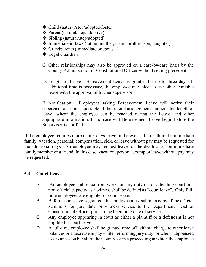- Child (natural/step/adopted/foster)
- Parent (natural/step/adoptive)
- $\div$  Sibling (natural/step/adopted)
- Immediate in-laws (father, mother, sister, brother, son, daughter)
- Grandparents (immediate or spousal)
- Legal Guardian
- C. Other relationships may also be approved on a case-by-case basis by the County Administrator or Constitutional Officer without setting precedent.
- D. Length of Leave: Bereavement Leave is granted for up to three days. If additional time is necessary, the employee may elect to use other available leave with the approval of his/her supervisor.

E. Notification: Employees taking Bereavement Leave will notify their supervisor as soon as possible of the funeral arrangements, anticipated length of leave, where the employee can be reached during the Leave, and other appropriate information. In no case will Bereavement Leave begin before the Supervisor is notified.

If the employee requires more than 3 days leave in the event of a death in the immediate family, vacation, personal, compensation, sick, or leave without pay may be requested for the additional days. An employee may request leave for the death of a non-immediate family member or a friend. In this case, vacation, personal, comp or leave without pay may be requested.

### **5.4 Court Leave**

- A. An employee's absence from work for jury duty or for attending court in a non-official capacity as a witness shall be defined as "court leave". Only fulltime employees are eligible for court leave.
- B. Before court leave is granted, the employee must submit a copy of the official summons for jury duty or witness service to the Department Head or Constitutional Officer prior to the beginning date of service.
- C. Any employee appearing in court as either a plaintiff or a defendant is not eligible for court leave.
- D. A full-time employee shall be granted time off without charge to other leave balances or a decrease in pay while performing jury duty, or when subpoenaed as a witness on behalf of the County, or in a proceeding in which the employee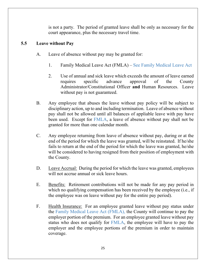is not a party. The period of granted leave shall be only as necessary for the court appearance, plus the necessary travel time.

### **5.5 Leave without Pay**

- A. Leave of absence without pay may be granted for:
	- 1. Family Medical Leave Act (FMLA) See Family Medical Leave Act
	- 2. Use of annual and sick leave which exceeds the amount of leave earned requires specific advance approval of the County Administrator/Constitutional Officer **and** Human Resources. Leave without pay is not guaranteed.
- B. Any employee that abuses the leave without pay policy will be subject to disciplinary action, up to and including termination. Leave of absence without pay shall not be allowed until all balances of appliable leave with pay have been used. Except for FMLA, a leave of absence without pay shall not be granted for more than one calendar month.
- C. Any employee returning from leave of absence without pay, during or at the end of the period for which the leave was granted, will be reinstated. If he/she fails to return at the end of the period for which the leave was granted, he/she will be considered to having resigned from their position of employment with the County.
- D. Leave Accrual: During the period for which the leave was granted, employees will not accrue annual or sick leave hours.
- E. Benefits: Retirement contributions will not be made for any pay period in which no qualifying compensation has been received by the employee (i.e., if the employee was on leave without pay for the entire pay period).
- F. Health Insurance: For an employee granted leave without pay status under the Family Medical Leave Act (FMLA), the County will continue to pay the employer portion of the premium. For an employee granted leave without pay status who does not qualify for FMLA, the employee will have to pay the employer and the employee portions of the premium in order to maintain coverage.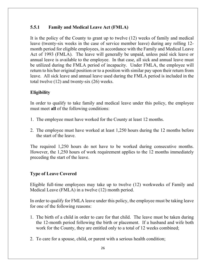## **5.5.1 Family and Medical Leave Act (FMLA)**

It is the policy of the County to grant up to twelve (12) weeks of family and medical leave (twenty-six weeks in the case of service member leave) during any rolling 12 month period for eligible employees, in accordance with the Family and Medical Leave Act of 1993 (FMLA). The leave will generally be unpaid, unless paid sick leave or annual leave is available to the employee. In that case, all sick and annual leave must be utilized during the FMLA period of incapacity. Under FMLA, the employee will return to his/her original position or to a position with similar pay upon their return from leave. All sick leave and annual leave used during the FMLA period is included in the total twelve (12) and twenty-six (26) weeks.

## **Eligibility**

In order to qualify to take family and medical leave under this policy, the employee must meet **all** of the following conditions:

- 1. The employee must have worked for the County at least 12 months.
- 2. The employee must have worked at least 1,250 hours during the 12 months before the start of the leave.

The required 1,250 hours do not have to be worked during consecutive months. However, the 1,250 hours of work requirement applies to the 12 months immediately preceding the start of the leave.

### **Type of Leave Covered**

Eligible full-time employees may take up to twelve (12) workweeks of Family and Medical Leave (FMLA) in a twelve (12) month period.

In order to qualify for FMLA leave under this policy, the employee must be taking leave for one of the following reasons:

- 1. The birth of a child in order to care for that child. The leave must be taken during the 12-month period following the birth or placement. If a husband and wife both work for the County, they are entitled only to a total of 12 weeks combined;
- 2. To care for a spouse, child, or parent with a serious health condition;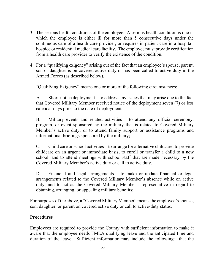- 3. The serious health conditions of the employee. A serious health condition is one in which the employee is either ill for more than 5 consecutive days under the continuous care of a health care provider, or requires in-patient care in a hospital, hospice or residential medical care facility. The employee must provide certification from a health care provider to verify the existence of the condition.
- 4. For a "qualifying exigency" arising out of the fact that an employee's spouse, parent, son or daughter is on covered active duty or has been called to active duty in the Armed Forces (as described below).

"Qualifying Exigency" means one or more of the following circumstances:

A. Short-notice deployment – to address any issues that may arise due to the fact that Covered Military Member received notice of the deployment seven (7) or less calendar days prior to the date of deployment;

B. Military events and related activities – to attend any official ceremony, program, or event sponsored by the military that is related to Covered Military Member's active duty; or to attend family support or assistance programs and informational briefings sponsored by the military;

C. Child care or school activities – to arrange for alternative childcare; to provide childcare on an urgent or immediate basis; to enroll or transfer a child to a new school; and to attend meetings with school staff that are made necessary by the Covered Military Member's active duty or call to active duty.

D. Financial and legal arrangements – to make or update financial or legal arrangements related to the Covered Military Member's absence while on active duty; and to act as the Covered Military Member's representative in regard to obtaining, arranging, or appealing military benefits;

For purposes of the above, a "Covered Military Member" means the employee's spouse, son, daughter, or parent on covered active duty or call to active-duty status.

### **Procedures**

Employees are required to provide the County with sufficient information to make it aware that the employee needs FMLA qualifying leave and the anticipated time and duration of the leave. Sufficient information may include the following: that the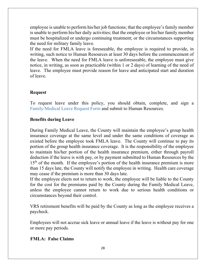employee is unable to perform his/her job functions; that the employee's family member is unable to perform his/her daily activities; that the employee or his/her family member must be hospitalized or undergo continuing treatment; or the circumstances supporting the need for military family leave.

If the need for FMLA leave is foreseeable, the employee is required to provide, in writing, such notice to Human Resources at least 30 days before the commencement of the leave. When the need for FMLA leave is unforeseeable, the employee must give notice, in writing, as soon as practicable (within 1 or 2 days) of learning of the need of leave. The employee must provide reason for leave and anticipated start and duration of leave.

## **Request**

To request leave under this policy, you should obtain, complete, and sign a Family/Medical Leave Request Form and submit to Human Resources.

## **Benefits during Leave**

During Family Medical Leave, the County will maintain the employee's group health insurance coverage at the same level and under the same conditions of coverage as existed before the employee took FMLA leave. The County will continue to pay its portion of the group health insurance coverage. It is the responsibility of the employee to maintain his/her portion of the health insurance premium, either through payroll deduction if the leave is with pay, or by payment submitted to Human Resources by the  $15<sup>th</sup>$  of the month. If the employee's portion of the health insurance premium is more than 15 days late, the County will notify the employee in writing. Health care coverage may cease if the premium is more than 30 days late.

If the employee elects not to return to work, the employee will be liable to the County for the cost for the premiums paid by the County during the Family Medical Leave, unless the employee cannot return to work due to serious health conditions or circumstances beyond their control.

VRS retirement benefits will be paid by the County as long as the employee receives a paycheck.

Employees will not accrue sick leave or annual leave if the leave is without pay for one or more pay periods.

## **FMLA: False Claims**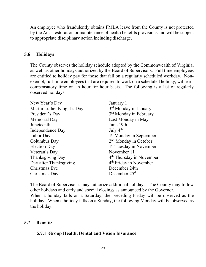An employee who fraudulently obtains FMLA leave from the County is not protected by the Act's restoration or maintenance of health benefits provisions and will be subject to appropriate disciplinary action including discharge.

#### **5.6 Holidays**

The County observes the holiday schedule adopted by the Commonwealth of Virginia, as well as other holidays authorized by the Board of Supervisors. Full time employees are entitled to holiday pay for those that fall on a regularly scheduled workday. Nonexempt, full-time employees that are required to work on a scheduled holiday, will earn compensatory time on an hour for hour basis. The following is a list of regularly observed holidays:

| New Year's Day              | January 1                            |
|-----------------------------|--------------------------------------|
| Martin Luther King, Jr. Day | 3 <sup>rd</sup> Monday in January    |
| President's Day             | 3 <sup>rd</sup> Monday in February   |
| Memorial Day                | Last Monday in May                   |
| Juneteenth                  | June 19th                            |
| Independence Day            | July $4th$                           |
| Labor Day                   | 1 <sup>st</sup> Monday in September  |
| Columbus Day                | 2 <sup>nd</sup> Monday in October    |
| <b>Election Day</b>         | 1 <sup>st</sup> Tuesday in November  |
| Veteran's Day               | November 11                          |
| Thanksgiving Day            | 4 <sup>th</sup> Thursday in November |
| Day after Thanksgiving      | 4 <sup>th</sup> Friday in November   |
| Christmas Eve               | December 24th                        |
| Christmas Day               | December $25th$                      |

The Board of Supervisor's may authorize additional holidays. The County may follow other holidays and early and special closings as announced by the Governor. When a holiday falls on a Saturday, the preceding Friday will be observed as the holiday. When a holiday falls on a Sunday, the following Monday will be observed as the holiday.

#### **5.7 Benefits**

#### **5.7.1 Group Health, Dental and Vision Insurance**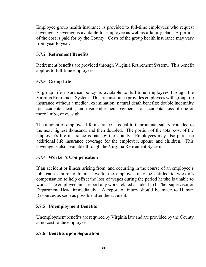Employee group health insurance is provided to full-time employees who request coverage. Coverage is available for employee as well as a family plan. A portion of the cost is paid for by the County. Costs of the group health insurance may vary from year to year.

## **5.7.2 Retirement Benefits**

Retirement benefits are provided through Virginia Retirement System. This benefit applies to full-time employees.

## **5.7.3 Group Life**

A group life insurance policy is available to full-time employees through the Virginia Retirement System. This life insurance provides employees with group life insurance without a medical examination; natural death benefits; double indemnity for accidental death; and dismemberment payments for accidental loss of one or more limbs, or eyesight.

The amount of employee life insurance is equal to their annual salary, rounded to the next highest thousand, and then doubled. The portion of the total cost of the employee's life insurance is paid by the County. Employees may also purchase additional life insurance coverage for the employee, spouse and children. This coverage is also available through the Virginia Retirement System.

### **5.7.4 Worker's Compensation**

If an accident or illness arising from, and occurring in the course of an employee's job, causes him/her to miss work, the employee may be entitled to worker's compensation to help offset the loss of wages during the period he/she is unable to work. The employee must report any work-related accident to his/her supervisor or Department Head immediately. A report of injury should be made to Human Resources as soon as possible after the accident.

### **5.7.5 Unemployment Benefits**

Unemployment benefits are required by Virginia law and are provided by the County at no cost to the employee.

### **5.7.6 Benefits upon Separation**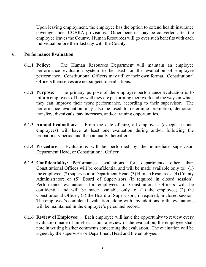Upon leaving employment, the employee has the option to extend health insurance coverage under COBRA provisions. Other benefits may be converted after the employee leaves the County. Human Resources will go over such benefits with each individual before their last day with the County.

#### **6. Performance Evaluation**

- **6.1.1 Policy:** The Human Resources Department will maintain an employee performance evaluation system to be used for the evaluation of employee performance. Constitutional Officers may utilize their own format. Constitutional Officers themselves are not subject to evaluations.
- **6.1.2 Purpose:** The primary purpose of the employee performance evaluation is to inform employees of how well they are performing their work and the ways in which they can improve their work performance, according to their supervisor. The performance evaluation may also be used to determine promotion, demotion, transfers, dismissals, pay increases, and/or training opportunities.
- **6.1.3 Annual Evaluations:** From the date of hire, all employees (except seasonal employees) will have at least one evaluation during and/or following the probationary period and then annually thereafter.
- **6.1.4 Procedure:** Evaluations will be performed by the immediate supervisor, Department Head, or Constitutional Officer.
- **6.1.5 Confidentiality:** Performance evaluations for departments other than Constitutional Offices will be confidential and will be made available only to: (1) the employee; (2) supervisor or Department Head; (3) Human Resources; (4) County Administrator; or (5) Board of Supervisors (if required in closed session). Performance evaluations for employees of Constitutional Officers will be confidential and will be made available only to: (1) the employee; (2) the Constitutional Officer; (3) the Board of Supervisors, if required, in closed session. The employee's completed evaluation, along with any additions to the evaluation, will be maintained in the employee's personnel record.
- **6.1.6 Review of Employee:** Each employee will have the opportunity to review every evaluation made of him/her. Upon a review of the evaluation, the employee shall note in writing his/her comments concerning the evaluation. The evaluation will be signed by the supervisor or Department Head and the employee.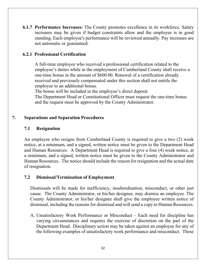**6.1.7 Performance Increases:** The County promotes excellence in its workforce. Salary increases may be given if budget constraints allow and the employee is in good standing. Each employee's performance will be reviewed annually. Pay increases are not automatic or guaranteed.

### **6.2.1 Professional Certification**

A full-time employee who received a professional certification related to the employee's duties while in the employment of Cumberland County shall receive a one-time bonus in the amount of \$600.00. Renewal of a certification already received and previously compensated under this section shall not entitle the employee to an additional bonus.

The bonus will be included in the employee's direct deposit.

The Department Head or Constitutional Officer must request the one-time bonus and the request must be approved by the County Administrator.

#### **7. Separations and Separation Procedures**

#### **7.1 Resignation**

An employee who resigns from Cumberland County is required to give a two (2) week notice, at a minimum, and a signed, written notice must be given to the Department Head and Human Resources. A Department Head is required to give a four (4) week notice, at a minimum, and a signed, written notice must be given to the County Administrator and Human Resources. The notice should include the reason for resignation and the actual date of resignation.

#### **7.2 Dismissal/Termination of Employment**

Dismissals will be made for inefficiency, insubordination, misconduct, or other just cause. The County Administrator, or his/her designee, may dismiss an employee. The County Administrator, or his/her designee shall give the employee written notice of dismissal, including the reasons for dismissal and will send a copy to Human Resources.

A. Unsatisfactory Work Performance or Misconduct – Each need for discipline has varying circumstances and requires the exercise of discretion on the part of the Department Head. Disciplinary action may be taken against an employee for any of the following examples of unsatisfactory work performance and misconduct. These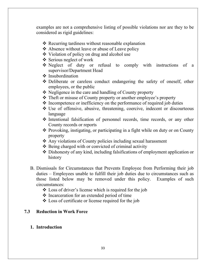examples are not a comprehensive listing of possible violations nor are they to be considered as rigid guidelines:

- $\triangle$  Recurring tardiness without reasonable explanation
- **❖** Absence without leave or abuse of Leave policy
- Violation of policy on drug and alcohol use
- $\triangle$  Serious neglect of work
- Neglect of duty or refusal to comply with instructions of a supervisor/Department Head
- $\triangle$  Insubordination
- Deliberate or careless conduct endangering the safety of oneself, other employees, or the public
- $\triangle$  Negligence in the care and handling of County property
- Theft or misuse of County property or another employee's property
- Incompetence or inefficiency on the performance of required job duties
- Use of offensive, abusive, threatening, coercive, indecent or discourteous language
- $\triangle$  Intentional falsification of personnel records, time records, or any other County records or reports
- Provoking, instigating, or participating in a fight while on duty or on County property
- Any violations of County policies including sexual harassment
- $\triangle$  Being charged with or convicted of criminal activity
- Dishonesty of any kind, including falsifications of employment application or history
- B. Dismissals for Circumstances that Prevents Employee from Performing their job duties – Employees unable to fulfill their job duties due to circumstances such as those listed below may be removed under this policy. Examples of such circumstances:
	- Loss of driver's license which is required for the job
	- Incarceration for an extended period of time
	- Loss of certificate or license required for the job

## **7.3 Reduction in Work Force**

### **1. Introduction**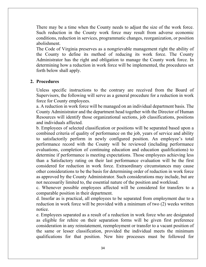There may be a time when the County needs to adjust the size of the work force. Such reduction in the County work force may result from adverse economic conditions, reduction in services, programmatic changes, reorganization, or position abolishment.

The Code of Virginia preserves as a nongrievable management right the ability of the County to define its method of reducing its work force. The County Administrator has the right and obligation to manage the County work force. In determining how a reduction in work force will be implemented, the procedures set forth below shall apply.

#### **2. Procedures**

Unless specific instructions to the contrary are received from the Board of Supervisors, the following will serve as a general procedure for a reduction in work force for County employees.

a. A reduction in work force will be managed on an individual department basis. The County Administrator and the department head together with the Director of Human Resources will identify those organizational sections, job classifications, positions and individuals affected.

b. Employees of selected classification or positions will be separated based upon a combined criteria of quality of performance on the job, years of service and ability to satisfactorily perform in newly configured position. An employee's total performance record with the County will be reviewed (including performance evaluations, completion of continuing education and education qualifications) to determine if performance is meeting expectations. Those employees achieving less than a Satisfactory rating on their last performance evaluation will be the first considered for reduction in work force. Extraordinary circumstances may cause other considerations to be the basis for determining order of reduction in work force as approved by the County Administrator. Such considerations may include, but are not necessarily limited to, the essential nature of the position and workload.

c. Whenever possible employees affected will be considered for transfers to a comparable position in their department.

d. Insofar as is practical, all employees to be separated from employment due to a reduction in work force will be provided with a minimum of two (2) weeks written notice.

e. Employees separated as a result of a reduction in work force who are designated as eligible for rehire on their separation forms will be given first preference consideration in any reinstatement, reemployment or transfer to a vacant position of the same or lesser classification, provided the individual meets the minimum qualifications for that position. New hire processes must be followed for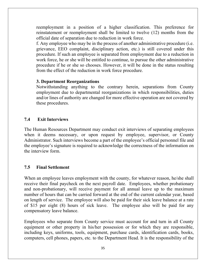reemployment in a position of a higher classification. This preference for reinstatement or reemployment shall be limited to twelve (12) months from the official date of separation due to reduction in work force.

f. Any employee who may be in the process of another administrative procedure (i.e. grievance, EEO complaint, disciplinary action, etc.) is still covered under this procedure. If such an employee is separated from employment due to a reduction in work force, he or she will be entitled to continue, to pursue the other administrative procedure if he or she so chooses. However, it will be done in the status resulting from the effect of the reduction in work force procedure.

#### **3. Department Reorganizations**

Notwithstanding anything to the contrary herein, separations from County employment due to departmental reorganizations in which responsibilities, duties and/or lines of authority are changed for more effective operation are not covered by these procedures.

### **7.4 Exit Interviews**

The Human Resources Department may conduct exit interviews of separating employees when it deems necessary, or upon request by employee, supervisor, or County Administrator. Such interviews become a part of the employee's official personnel file and the employee's signature is required to acknowledge the correctness of the information on the interview form.

### **7.5 Final Settlement**

When an employee leaves employment with the county, for whatever reason, he/she shall receive their final paycheck on the next payroll date. Employees, whether probationary and non-probationary, will receive payment for all annual leave up to the maximum number of hours that can be carried forward at the end of the current calendar year, based on length of service. The employee will also be paid for their sick leave balance at a rate of \$15 per eight (8) hours of sick leave. The employee also will be paid for any compensatory leave balance.

Employees who separate from County service must account for and turn in all County equipment or other property in his/her possession or for which they are responsible, including keys, uniforms, tools, equipment, purchase cards, identification cards, books, computers, cell phones, papers, etc. to the Department Head. It is the responsibility of the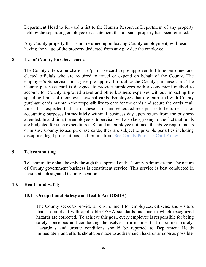Department Head to forward a list to the Human Resources Department of any property held by the separating employee or a statement that all such property has been returned.

Any County property that is not returned upon leaving County employment, will result in having the value of the property deducted from any pay due the employee.

#### **8. Use of County Purchase cards**

The County offers a purchase card/purchase card to pre-approved full-time personnel and elected officials who are required to travel or expend on behalf of the County. The employee's Supervisor must give pre-approval to utilize the County purchase card. The County purchase card is designed to provide employees with a convenient method to account for County approved travel and other business expenses without impacting the spending limits of their own personal cards. Employees that are entrusted with County purchase cards maintain the responsibility to care for the cards and secure the cards at all times. It is expected that use of these cards and generated receipts are to be turned in for accounting purposes **immediately** within 1 business day upon return from the business attended. In addition, the employee's Supervisor will also be agreeing to the fact that funds are budgeted for such expenditures. Should an employee not meet the above requirements or misuse County issued purchase cards, they are subject to possible penalties including discipline, legal prosecutions, and termination. See County Purchase Card Policy.

### **9. Telecommuting**

Telecommuting shall be only through the approval of the County Administrator. The nature of County government business is constituent service. This service is best conducted in person at a designated County location.

#### **10. Health and Safety**

### **10.1 Occupational Safety and Health Act (OSHA)**

The County seeks to provide an environment for employees, citizens, and visitors that is compliant with applicable OSHA standards and one in which recognized hazards are corrected. To achieve this goal, every employee is responsible for being safety conscious and conducting themselves in a manner that maximizes safety. Hazardous and unsafe conditions should be reported to Department Heads immediately and efforts should be made to address such hazards as soon as possible.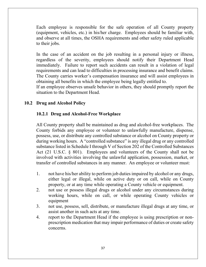Each employee is responsible for the safe operation of all County property (equipment, vehicles, etc.) in his/her charge. Employees should be familiar with, and observe at all times, the OSHA requirements and other safety ruled applicable to their jobs.

In the case of an accident on the job resulting in a personal injury or illness, regardless of the severity, employees should notify their Department Head immediately. Failure to report such accidents can result in a violation of legal requirements and can lead to difficulties in processing insurance and benefit claims. The County carries worker's compensation insurance and will assist employees in obtaining all benefits in which the employee being legally entitled to.

If an employee observes unsafe behavior in others, they should promptly report the situation to the Department Head.

## **10.2 Drug and Alcohol Policy**

### **10.2.1 Drug and Alcohol-Free Workplace**

All County property shall be maintained as drug and alcohol-free workplaces. The County forbids any employee or volunteer to unlawfully manufacture, dispense, possess, use, or distribute any controlled substance or alcohol on County property or during working hours. A "controlled substance" is any illegal drug or any controlled substance listed in Schedule I through V of Section 202 of the Controlled Substances Act (21 U.S.C. § 801). Employees and volunteers of the County shall not be involved with activities involving the unlawful application, possession, market, or transfer of controlled substances in any manner. An employee or volunteer must:

- 1. not have his/her ability to perform job duties impaired by alcohol or any drugs, either legal or illegal, while on active duty or on call, while on County property, or at any time while operating a County vehicle or equipment.
- 2. not use or possess illegal drugs or alcohol under any circumstances during working hours, while on call, or while operating County vehicles or equipment
- 3. not use, possess, sell, distribute, or manufacture illegal drugs at any time, or assist another in such acts at any time.
- 4. report to the Department Head if the employee is using prescription or nonprescription medication that may impair performance of duties or create safety concerns.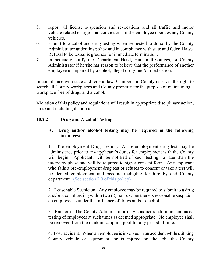- 5. report all license suspension and revocations and all traffic and motor vehicle related charges and convictions, if the employee operates any County vehicles.
- 6. submit to alcohol and drug testing when requested to do so by the County Administrator under this policy and in compliance with state and federal laws. Refusal to be tested is grounds for immediate termination.
- 7. immediately notify the Department Head, Human Resources, or County Administrator if he/she has reason to believe that the performance of another employee is impaired by alcohol, illegal drugs and/or medication.

In compliance with state and federal law, Cumberland County reserves the right to search all County workplaces and County property for the purpose of maintaining a workplace free of drugs and alcohol.

Violation of this policy and regulations will result in appropriate disciplinary action, up to and including dismissal.

## **10.2.2 Drug and Alcohol Testing**

## **A. Drug and/or alcohol testing may be required in the following instances:**

1. Pre-employment Drug Testing: A pre-employment drug test may be administered prior to any applicant's duties for employment with the County will begin. Applicants will be notified of such testing no later than the interview phase and will be required to sign a consent form. Any applicant who fails a pre-employment drug test or refuses to consent or take a test will be denied employment and become ineligible for hire by and County department. (See section 2.9 of this policy)

2. Reasonable Suspicion: Any employee may be required to submit to a drug and/or alcohol testing within two (2) hours when there is reasonable suspicion an employee is under the influence of drugs and/or alcohol.

3. Random: The County Administrator may conduct random unannounced testing of employees at such times as deemed appropriate. No employee shall be removed from the random sampling pool for any period of time.

4. Post-accident: When an employee is involved in an accident while utilizing County vehicle or equipment, or is injured on the job, the County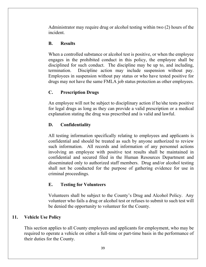Administrator may require drug or alcohol testing within two (2) hours of the incident.

## **B. Results**

When a controlled substance or alcohol test is positive, or when the employee engages in the prohibited conduct in this policy, the employee shall be disciplined for such conduct. The discipline may be up to, and including, termination. Discipline action may include suspension without pay. Employees in suspension without pay status or who have tested positive for drugs may not have the same FMLA job status protection as other employees.

## **C. Prescription Drugs**

An employee will not be subject to disciplinary action if he/she tests positive for legal drugs as long as they can provide a valid prescription or a medical explanation stating the drug was prescribed and is valid and lawful.

## **D. Confidentiality**

All testing information specifically relating to employees and applicants is confidential and should be treated as such by anyone authorized to review such information. All records and information of any personnel actions involving an employee with positive test results shall be maintained in confidential and secured filed in the Human Resources Department and disseminated only to authorized staff members. Drug and/or alcohol testing shall not be conducted for the purpose of gathering evidence for use in criminal proceedings.

## **E. Testing for Volunteers**

Volunteers shall be subject to the County's Drug and Alcohol Policy. Any volunteer who fails a drug or alcohol test or refuses to submit to such test will be denied the opportunity to volunteer for the County.

## **11. Vehicle Use Policy**

This section applies to all County employees and applicants for employment, who may be required to operate a vehicle on either a full-time or part-time basis in the performance of their duties for the County.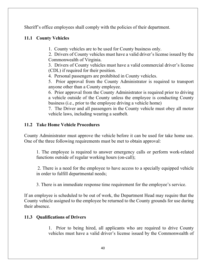Sheriff's office employees shall comply with the policies of their department.

## **11.1 County Vehicles**

1. County vehicles are to be used for County business only.

2. Drivers of County vehicles must have a valid driver's license issued by the Commonwealth of Virginia.

3. Drivers of County vehicles must have a valid commercial driver's license (CDL) if required for their position.

4. Personal passengers are prohibited in County vehicles.

5. Prior approval from the County Administrator is required to transport anyone other than a County employee.

6. Prior approval from the County Administrator is required prior to driving a vehicle outside of the County unless the employee is conducting County business (i.e., prior to the employee driving a vehicle home)

7. The Driver and all passengers in the County vehicle must obey all motor vehicle laws, including wearing a seatbelt.

## **11.2 Take Home Vehicle Procedures**

County Administrator must approve the vehicle before it can be used for take home use. One of the three following requirements must be met to obtain approval:

1. The employee is required to answer emergency calls or perform work-related functions outside of regular working hours (on-call);

2. There is a need for the employee to have access to a specially equipped vehicle in order to fulfill departmental needs;

3. There is an immediate response time requirement for the employee's service.

If an employee is scheduled to be out of work, the Department Head may require that the County vehicle assigned to the employee be returned to the County grounds for use during their absence.

### **11.3 Qualifications of Drivers**

1. Prior to being hired, all applicants who are required to drive County vehicles must have a valid driver's license issued by the Commonwealth of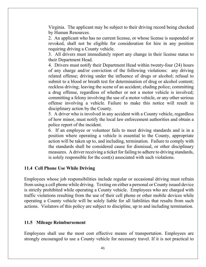Virginia. The applicant may be subject to their driving record being checked by Human Resources.

2. An applicant who has no current license, or whose license is suspended or revoked, shall not be eligible for consideration for hire in any position requiring driving a County vehicle.

3. All drivers must immediately report any change in their license status to their Department Head.

4. Drivers must notify their Department Head within twenty-four (24) hours of any charge and/or conviction of the following violations: any driving related offense; driving under the influence of drugs or alcohol; refusal to submit to a blood or breath test for determination of drug or alcohol content; reckless driving; leaving the scene of an accident; eluding police; committing a drug offense, regardless of whether or not a motor vehicle is involved; committing a felony involving the use of a motor vehicle, or any other serious offense involving a vehicle. Failure to make this notice will result in disciplinary action by the County.

5. A driver who is involved in any accident with a County vehicle, regardless of how minor, must notify the local law enforcement authorities and obtain a police report of the incident.

6. If an employee or volunteer fails to meet driving standards and is in a position where operating a vehicle is essential to the County, appropriate action will be taken up to, and including, termination. Failure to comply with the standards shall be considered cause for dismissal, or other disciplinary measures. A driver receiving a ticket for failing to adhere to driving standards, is solely responsible for the cost(s) associated with such violations.

### **11.4 Cell Phone Use While Driving**

Employees whose job responsibilities include regular or occasional driving must refrain from using a cell phone while driving. Texting on either a personal or County issued device is strictly prohibited while operating a County vehicle. Employees who are charged with traffic violations resulting from the use of their cell phone or other mobile devices while operating a County vehicle will be solely liable for all liabilities that results from such actions. Violators of this policy are subject to discipline, up to and including termination.

#### **11.5 Mileage Reimbursement**

Employees shall use the most cost effective means of transportation. Employees are strongly encouraged to use a County vehicle for necessary travel. If it is not practical to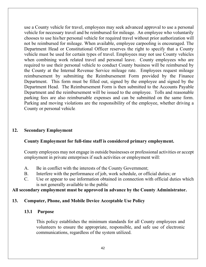use a County vehicle for travel, employees may seek advanced approval to use a personal vehicle for necessary travel and be reimbursed for mileage. An employee who voluntarily chooses to use his/her personal vehicle for required travel without prior authorization will not be reimbursed for mileage. When available, employee carpooling is encouraged. The Department Head or Constitutional Officer reserves the right to specify that a County vehicle must be used for certain types of travel. Employees may not use County vehicles when combining work related travel and personal leave. County employees who are required to use their personal vehicle to conduct County business will be reimbursed by the County at the Internal Revenue Service mileage rate. Employees request mileage reimbursement by submitting the Reimbursement Form provided by the Finance Department. This form must be filled out, signed by the employee and signed by the Department Head. The Reimbursement Form is then submitted to the Accounts Payable Department and the reimbursement will be issued to the employee. Tolls and reasonable parking fees are also reimbursable expenses and can be submitted on the same form. Parking and moving violations are the responsibility of the employee, whether driving a County or personal vehicle.

#### **12. Secondary Employment**

#### **County Employment for full-time staff is considered primary employment.**

County employees may not engage in outside businesses or professional activities or accept employment in private enterprises if such activities or employment will:

- A. Be in conflict with the interests of the County Government;
- B. Interfere with the performance of job, work schedule, or official duties; or
- C. Use or appear to use information obtained in connection with official duties which is not generally available to the public

#### **All secondary employment must be approved in advance by the County Administrator.**

#### **13. Computer, Phone, and Mobile Device Acceptable Use Policy**

#### **13.1 Purpose**

This policy establishes the minimum standards for all County employees and volunteers to ensure the appropriate, responsible, and safe use of electronic communications, regardless of the system utilized.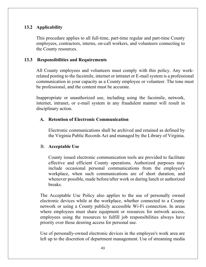#### **13.2 Applicability**

This procedure applies to all full-time, part-time regular and part-time County employees, contractors, interns, on-call workers, and volunteers connecting to the County resources.

#### **13.3 Responsibilities and Requirements**

All County employees and volunteers must comply with this policy. Any workrelated posting to the facsimile, internet or intranet or E-mail system is a professional communication in your capacity as a County employee or volunteer. The tone must be professional, and the content must be accurate.

Inappropriate or unauthorized use, including using the facsimile, network, internet, intranet, or e-mail system in any fraudulent manner will result in disciplinary action.

#### **A. Retention of Electronic Communication**

Electronic communications shall be archived and retained as defined by the Virginia Public Records Act and managed by the Library of Virginia.

#### B. **Acceptable Use**

County issued electronic communication tools are provided to facilitate effective and efficient County operations. Authorized purposes may include occasional personal communications from the employee's workplace, when such communications are of short duration, and whenever possible, made before/after work or during lunch or authorized breaks.

The Acceptable Use Policy also applies to the use of personally owned electronic devices while at the workplace, whether connected to a County network or using a County publicly accessible Wi-Fi connection. In areas where employees must share equipment or resources for network access, employees using the resources to fulfill job responsibilities always have priority over those desiring access for personal use.

Use of personally-owned electronic devices in the employee's work area are left up to the discretion of department management. Use of streaming media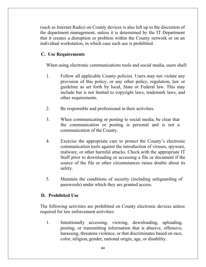(such as Internet Radio) on County devices is also left up to the discretion of the department management, unless it is determined by the IT Department that it creates a disruption or problem within the County network or on an individual workstation, in which case such use is prohibited.

### **C. Use Requirements**

When using electronic communications tools and social media, users shall:

- 1. Follow all applicable County policies. Users may not violate any provision of this policy, or any other policy, regulation, law or guideline as set forth by local, State or Federal law. This may include but is not limited to copyright laws, trademark laws, and other requirements.
- 2. Be responsible and professional in their activities.
- 3. When communicating or posting to social media, be clear that the communication or posting is personal and is not a communication of the County.
- 4. Exercise the appropriate care to protect the County's electronic communication tools against the introduction of viruses, spyware, malware, or other harmful attacks. Check with the appropriate IT Staff prior to downloading or accessing a file or document if the source of the file or other circumstances raises doubts about its safety.
- 5. Maintain the conditions of security (including safeguarding of passwords) under which they are granted access.

### **D. Prohibited Use**

The following activities are prohibited on County electronic devices unless required for law enforcement activities:

1. Intentionally accessing, viewing, downloading, uploading, posting, or transmitting information that is abusive, offensive, harassing, threatens violence, or that discriminates based on race, color, religion, gender, national origin, age, or disability.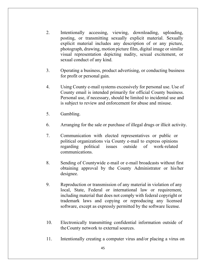- 2. Intentionally accessing, viewing, downloading, uploading, posting, or transmitting sexually explicit material. Sexually explicit material includes any description of or any picture, photograph, drawing, motion picture film, digital image or similar visual representation depicting nudity, sexual excitement, or sexual conduct of any kind.
- 3. Operating a business, product advertising, or conducting business for profit or personal gain.
- 4. Using County e-mail systems excessively for personal use. Use of County email is intended primarily for official County business. Personal use, if necessary, should be limited to incidental use and is subject to review and enforcement for abuse and misuse.
- 5. Gambling.
- 6. Arranging for the sale or purchase of illegal drugs or illicit activity.
- 7. Communication with elected representatives or public or political organizations via County e-mail to express opinions regarding political issues outside of work-related communications.
- 8. Sending of Countywide e-mail or e-mail broadcasts without first obtaining approval by the County Administrator or his/her designee.
- 9. Reproduction or transmission of any material in violation of any local, State, Federal or international law or requirement, including material that does not comply with federal copyright or trademark laws and copying or reproducing any licensed software, except as expressly permitted by the software license.
- 10. Electronically transmitting confidential information outside of the County network to external sources.
- 11. Intentionally creating a computer virus and/or placing a virus on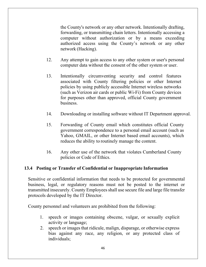the County's network or any other network. Intentionally drafting, forwarding, or transmitting chain letters. Intentionally accessing a computer without authorization or by a means exceeding authorized access using the County's network or any other network (Hacking).

- 12. Any attempt to gain access to any other system or user's personal computer data without the consent of the other system or user.
- 13. Intentionally circumventing security and control features associated with County filtering policies or other Internet policies by using publicly accessible Internet wireless networks (such as Verizon air cards or public Wi-Fi) from County devices for purposes other than approved, official County government business.
- 14. Downloading or installing software without IT Department approval.
- 15. Forwarding of County email which constitutes official County government correspondence to a personal email account (such as Yahoo, GMAIL, or other Internet based email accounts), which reduces the ability to routinely manage the content.
- 16. Any other use of the network that violates Cumberland County policies or Code of Ethics.

#### **13.4 Posting or Transfer of Confidential or Inappropriate Information**

Sensitive or confidential information that needs to be protected for governmental business, legal, or regulatory reasons must not be posted to the internet or transmitted insecurely. County Employees shall use secure file and large file transfer protocols developed by the IT Director.

County personnel and volunteers are prohibited from the following:

- 1. speech or images containing obscene, vulgar, or sexually explicit activity or language;
- 2. speech or images that ridicule, malign, disparage, or otherwise express bias against any race, any religion, or any protected class of individuals;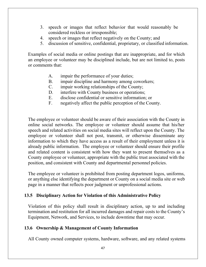- 3. speech or images that reflect behavior that would reasonably be considered reckless or irresponsible;
- 4. speech or images that reflect negatively on the County; and
- 5. discussion of sensitive, confidential, proprietary, or classified information.

Examples of social media or online postings that are inappropriate, and for which an employee or volunteer may be disciplined include, but are not limited to, posts or comments that:

- A. impair the performance of your duties;
- B. impair discipline and harmony among coworkers;
- C. impair working relationships of the County;
- D. interfere with County business or operations;
- E. disclose confidential or sensitive information; or
- F. negatively affect the public perception of the County.

The employee or volunteer should be aware of their association with the County in online social networks. The employee or volunteer should assume that his/her speech and related activities on social media sites will reflect upon the County. The employee or volunteer shall not post, transmit, or otherwise disseminate any information to which they have access as a result of their employment unless it is already public information. The employee or volunteer should ensure their profile and related content is consistent with how they want to present themselves as a County employee or volunteer, appropriate with the public trust associated with the position, and consistent with County and departmental personnel policies.

The employee or volunteer is prohibited from posting department logos, uniforms, or anything else identifying the department or County on a social media site or web page in a manner that reflects poor judgment or unprofessional actions.

## **13.5 Disciplinary Action for Violation of this Administrative Policy**

Violation of this policy shall result in disciplinary action, up to and including termination and restitution for all incurred damages and repair costs to the County's Equipment, Network, and Services, to include downtime that may occur.

## **13.6 Ownership & Management of County Information**

All County owned computer systems, hardware, software, and any related systems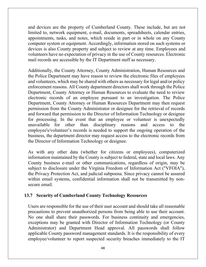and devices are the property of Cumberland County. These include, but are not limited to, network equipment, e-mail, documents, spreadsheets, calendar entries, appointments, tasks, and notes, which reside in part or in whole on any County computer system or equipment. Accordingly, information stored on such systems or devices is also County property and subject to review at any time. Employees and volunteers have no expectation of privacy in the use of County resources. Electronic mail records are accessible by the IT Department staff as necessary.

Additionally, the County Attorney, County Administration, Human Resources and the Police Department may have reason to review the electronic files of employees and volunteers, which may be shared with others as necessary for legal and/or policy enforcement reasons. All County department directors shall work through the Police Department, County Attorney or Human Resources to evaluate the need to review electronic records of an employee pursuant to an investigation. The Police Department, County Attorney or Human Resources Department may then request permission from the County Administrator or designee for the retrieval of records and forward that permission to the Director of Information Technology or designee for processing. In the event that an employee or volunteer is unexpectedly unavailable for other than disciplinary reasons and access to the employee's/volunteer's records is needed to support the ongoing operation of the business, the department director may request access to the electronic records from the Director of Information Technology or designee.

As with any other data (whether for citizens or employees), computerized information maintained by the County is subject to federal, state and local laws. Any County business e-mail or other communications, regardless of origin, may be subject to disclosure under the Virginia Freedom of Information Act ("VFOIA"), the Privacy Protection Act, and judicial subpoena. Since privacy cannot be assured within email systems, confidential information shall not be transmitted by nonsecure email.

#### **13.7 Security of Cumberland County Technology Resources**

Users are responsible for the use of their user account and should take all reasonable precautions to prevent unauthorized persons from being able to use their account. No one shall share their passwords. For business continuity and emergencies, exceptions may be granted with Director of Information Technology (or County Administrator) and Department Head approval. All passwords shall follow applicable County password management standards. It is the responsibility of every employee/volunteer to report suspected security breaches immediately to the IT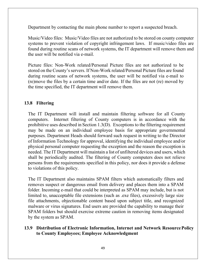Department by contacting the main phone number to report a suspected breach.

Music/Video files: Music/Video files are not authorized to be stored on county computer systems to prevent violation of copyright infringement laws. If music/video files are found during routine scans of network systems, the IT department will remove them and the user will be notified via e-mail.

Picture files: Non-Work related/Personal Picture files are not authorized to be stored on the County's servers. If Non-Work related/Personal Picture files are found during routine scans of network systems, the user will be notified via e-mail to (re)move the files by a certain time and/or date. If the files are not (re) moved by the time specified, the IT department will remove them.

### **13.8 Filtering**

The IT Department will install and maintain filtering software for all County computers. Internet filtering of County computers is in accordance with the prohibitive uses described in Section 1.3(D). Exceptions to the filtering requirement may be made on an individual employee basis for appropriate governmental purposes. Department Heads should forward such request in writing to the Director of Information Technology for approval, identifying the individual employee and/or physical personal computer requesting the exception and the reason the exception is needed. The IT Department will maintain a list of unfiltered devices and users, which shall be periodically audited. The filtering of County computers does not relieve persons from the requirements specified in this policy, nor does it provide a defense to violations of this policy.

The IT Department also maintains SPAM filters which automatically filters and removes suspect or dangerous email from delivery and places them into a SPAM folder. Incoming e-mail that could be interpreted as SPAM may include, but is not limited to, unacceptable file extensions (such as .exe files), excessively large size file attachments, objectionable content based upon subject title, and recognized malware or virus signatures. End users are provided the capability to manage their SPAM folders but should exercise extreme caution in removing items designated by the system as SPAM.

#### **13.9 Distribution of Electronic Information, Internet and Network Resource Policy to County Employees; Employee Acknowledgment**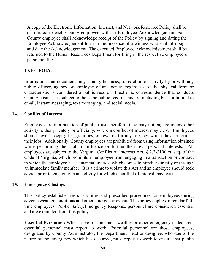A copy of the Electronic Information, Internet, and Network Resource Policy shall be distributed to each County employee with an Employee Acknowledgement. Each County employee shall acknowledge receipt of the Policy by signing and dating the Employee Acknowledgement form in the presence of a witness who shall also sign and date the Acknowledgement. The executed Employee Acknowledgement shall be returned to the Human Resources Department for filing in the respective employee's personnel file.

## **13.10 FOIA:**

Information that documents any County business, transaction or activity by or with any public officer, agency or employee of an agency, regardless of the physical form or characteristic is considered a public record. Electronic correspondence that conducts County business is subject to the same public record standard including but not limited to email, instant messaging, text messaging, and social media.

### **14. Conflict of Interest**

Employees are in a position of public trust; therefore, they may not engage in any other activity, either privately or officially, where a conflict of interest may exist. Employees should never accept gifts, gratuities, or rewards for any services which they perform in their jobs. Additionally, County employees are prohibited from using information obtained while performing their job to influence or further their own personal interests. All employees are subject to the Virginia Conflict of Interests Act, § 2.2-3100 et. seq. of the Code of Virginia, which prohibits an employee from engaging in a transaction or contract in which the employee has a financial interest which comes to him/her directly or through an immediate family member. It is a crime to violate this Act and an employee should seek advice prior to engaging in an activity for which a conflict of interest may exist.

### **15. Emergency Closings**

This policy establishes responsibilities and prescribes procedures for employees during adverse weather conditions and other emergency events. This policy applies to regular fulltime employees. Public Safety/Emergency Response personnel are considered essential and are exempted from this policy.

**Essential Personnel:** When leave for inclement weather or other emergency is declared, essential personnel must report to work. Essential personnel are those employees, designated by County Administrator, the Department Head or designee, who due to the nature of the emergency which has occurred, must report to work to ensure that public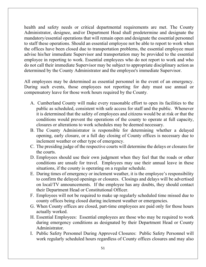health and safety needs or critical departmental requirements are met. The County Administrator, designee, and/or Department Head shall predetermine and designate the mandatory/essential operations that will remain open and designate the essential personnel to staff these operations. Should an essential employee not be able to report to work when the offices have been closed due to transportation problems, the essential employee must advise his/her immediate Supervisor and transportation may be provided to the essential employee in reporting to work. Essential employees who do not report to work and who do not call their immediate Supervisor may be subject to appropriate disciplinary action as determined by the County Administrator and the employee's immediate Supervisor.

All employees may be determined as essential personnel in the event of an emergency. During such events, those employees not reporting for duty must use annual or compensatory leave for those work hours required by the County.

- A. Cumberland County will make every reasonable effort to open its facilities to the public as scheduled, consistent with safe access for staff and the public. Whenever it is determined that the safety of employees and citizens would be at risk or that the conditions would prevent the operations of the county to operate at full capacity, closures or alterations to work schedules may be deemed necessary.
- B. The County Administrator is responsible for determining whether a delayed opening, early closure, or a full day closing of County offices is necessary due to inclement weather or other type of emergency.
- C. The presiding judge of the respective courts will determine the delays or closures for the courts.
- D. Employees should use their own judgment when they feel that the roads or other conditions are unsafe for travel. Employees may use their annual leave in these situations, if the county is operating on a regular schedule.
- E. During times of emergency or inclement weather, it is the employee's responsibility to confirm the delayed openings or closures. Closings and delays will be advertised on local/TV announcements. If the employee has any doubts, they should contact their Department Head or Constitutional Officer.
- F. Employees will not be required to make up regularly scheduled time missed due to county offices being closed during inclement weather or emergencies.
- G. When County offices are closed, part-time employees are paid only for those hours actually worked.
- H. Essential Employees: Essential employees are those who may be required to work during emergency conditions as designated by their Department Head or County Administrator.
- I. Public Safety Personnel During Approved Closures: Public Safety Personnel will work regularly scheduled hours regardless of County offices closures and may also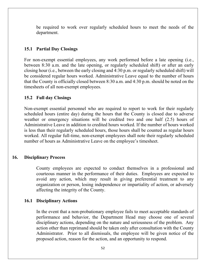be required to work over regularly scheduled hours to meet the needs of the department.

#### **15.1 Partial Day Closings**

For non-exempt essential employees, any work performed before a late opening (i.e., between 8:30 a.m. and the late opening, or regularly scheduled shift) or after an early closing hour (i.e., between the early closing and 4:30 p.m. or regularly scheduled shift) will be considered regular hours worked. Administrative Leave equal to the number of hours that the County is officially closed between 8:30 a.m. and 4:30 p.m. should be noted on the timesheets of all non-exempt employees.

#### **15.2 Full day Closings**

Non-exempt essential personnel who are required to report to work for their regularly scheduled hours (entire day) during the hours that the County is closed due to adverse weather or emergency situations will be credited two and one half (2.5) hours of Administrative Leave in addition to credited hours worked. If the number of hours worked is less than their regularly scheduled hours, those hours shall be counted as regular hours worked. All regular full-time, non-exempt employees shall note their regularly scheduled number of hours as Administrative Leave on the employee's timesheet.

#### **16. Disciplinary Process**

County employees are expected to conduct themselves in a professional and courteous manner in the performance of their duties. Employees are expected to avoid any action, which may result in giving preferential treatment to any organization or person, losing independence or impartiality of action, or adversely affecting the integrity of the County.

#### **16.1 Disciplinary Actions**

In the event that a non-probationary employee fails to meet acceptable standards of performance and behavior, the Department Head may choose one of several disciplinary actions, depending on the nature and seriousness of the problem. Any action other than reprimand should be taken only after consultation with the County Administrator. Prior to all dismissals, the employee will be given notice of the proposed action, reason for the action, and an opportunity to respond.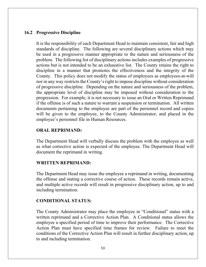#### **16.2 Progressive Discipline**

It is the responsibility of each Department Head to maintain consistent, fair and high standards of discipline. The following are several disciplinary actions which may be used in a progressive manner appropriate to the nature and seriousness of the problem. The following list of disciplinary actions includes examples of progressive actions but is not intended to be an exhaustive list. The County retains the right to discipline in a manner that promotes the effectiveness and the integrity of the County. This policy does not modify the status of employees as employees-at-will nor in any way restricts the County's right to impose discipline without consideration of progressive discipline. Depending on the nature and seriousness of the problem, the appropriate level of discipline may be imposed without consideration to the progression. For example, it is not necessary to issue an Oral or Written Reprimand if the offense is of such a nature to warrant a suspension or termination. All written documents pertaining to the employee are part of the personnel record and copies will be given to the employee, to the County Administrator, and placed in the employee's personnel file in Human Resources.

### **ORAL REPRIMAND:**

The Department Head will verbally discuss the problem with the employee as well as what corrective action is expected of the employee. The Department Head will document the reprimand in writing.

#### **WRITTEN REPRIMAND:**

The Department Head may issue the employee a reprimand in writing, documenting the offense and stating a corrective course of action. These records remain active, and multiple active records will result in progressive disciplinary action, up to and including termination.

#### **CONDITIONAL STATUS:**

The County Administrator may place the employee in "Conditional" status with a written reprimand and a Corrective Action Plan. A Conditional status allows the employee a specified period of time to improve their performance. The Corrective Action Plan must have specified time frames for review. Failure to meet the conditions of the Corrective Action Plan will result in further disciplinary action, up to and including termination.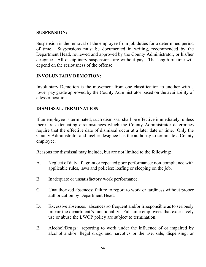### **SUSPENSION:**

Suspension is the removal of the employee from job duties for a determined period of time. Suspensions must be documented in writing, recommended by the Department Head, reviewed and approved by the County Administrator, or his/her designee. All disciplinary suspensions are without pay. The length of time will depend on the seriousness of the offense.

### **INVOLUNTARY DEMOTION:**

Involuntary Demotion is the movement from one classification to another with a lower pay grade approved by the County Administrator based on the availability of a lesser position.

#### **DISMISSAL/TERMINATION**:

If an employee is terminated, such dismissal shall be effective immediately, unless there are extenuating circumstances which the County Administrator determines require that the effective date of dismissal occur at a later date or time. Only the County Administrator and his/her designee has the authority to terminate a County employee.

Reasons for dismissal may include, but are not limited to the following:

- A. Neglect of duty: flagrant or repeated poor performance: non-compliance with applicable rules, laws and policies; loafing or sleeping on the job.
- B. Inadequate or unsatisfactory work performance.
- C. Unauthorized absences: failure to report to work or tardiness without proper authorization by Department Head.
- D. Excessive absences: absences so frequent and/or irresponsible as to seriously impair the department's functionality. Full-time employees that excessively use or abuse the LWOP policy are subject to termination.
- E. Alcohol/Drugs: reporting to work under the influence of or impaired by alcohol and/or illegal drugs and narcotics or the use, sale, dispensing, or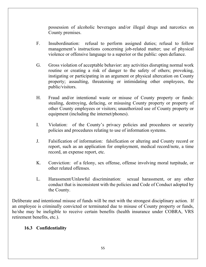possession of alcoholic beverages and/or illegal drugs and narcotics on County premises.

- F. Insubordination: refusal to perform assigned duties; refusal to follow management's instructions concerning job-related matter; use of physical violence or offensive language to a superior or the public: open defiance.
- G. Gross violation of acceptable behavior: any activities disrupting normal work routine or creating a risk of danger to the safety of others; provoking, instigating or participating in an argument or physical altercation on County property; assaulting, threatening or intimidating other employees, the public/visitors.
- H. Fraud and/or intentional waste or misuse of County property or funds: stealing, destroying, defacing, or misusing County property or property of other County employees or visitors; unauthorized use of County property or equipment (including the internet/phones).
- I. Violation: of the County's privacy policies and procedures or security policies and procedures relating to use of information systems.
- J. Falsification of information: falsification or altering and County record or report, such as an application for employment, medical record/note, a time record, an expense report, etc.
- K. Conviction: of a felony, sex offense, offense involving moral turpitude, or other related offenses.
- L. Harassment/Unlawful discrimination: sexual harassment, or any other conduct that is inconsistent with the policies and Code of Conduct adopted by the County.

Deliberate and intentional misuse of funds will be met with the strongest disciplinary action. If an employee is criminally convicted or terminated due to misuse of County property or funds, he/she may be ineligible to receive certain benefits (health insurance under COBRA, VRS retirement benefits, etc.).

## **16.3 Confidentiality**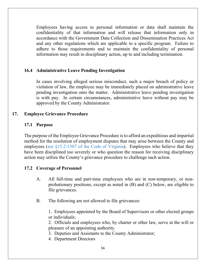Employees having access to personal information or data shall maintain the confidentiality of that information and will release that information only in accordance with the Government Data Collection and Dissemination Practices Act and any other regulations which are applicable to a specific program. Failure to adhere to those requirements and to maintain the confidentiality of personal information may result in disciplinary action, up to and including termination.

#### **16.4 Administrative Leave Pending Investigation**

In cases involving alleged serious misconduct, such a major breach of policy or violation of law, the employee may be immediately placed on administrative leave pending investigation onto the matter. Administrative leave pending investigation is with pay. In certain circumstances, administrative leave without pay may be approved by the County Administrator.

#### **17. Employee Grievance Procedure**

#### **17.1 Purpose**

The purpose of the Employee Grievance Procedure is to afford an expeditious and impartial method for the resolution of employment disputes that may arise between the County and employees (see §15.2-1507 of the Code of Virginia). Employees who believe that they have been disciplined too severely or who question the reason for receiving disciplinary action may utilize the County's grievance procedure to challenge such action.

### **17.2 Coverage of Personnel**

- A. All full-time and part-time employees who are in non-temporary, or nonprobationary positions, except as noted in (B) and (C) below, are eligible to file grievances.
- B. The following are not allowed to file grievances:

1. Employees appointed by the Board of Supervisors or other elected groups or individuals;

2. Officials and employees who, by charter or other law, serve at the will or pleasure of an appointing authority.

- 3. Deputies and Assistants to the County Administrator;
- 4. Department Directors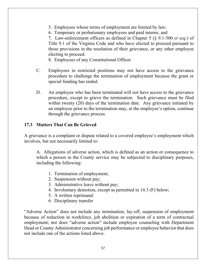- 5. Employees whose terms of employment are limited by law;
- 6. Temporary or probationary employees and paid interns; and

7. Law-enforcement officers as defined in Chapter 5 (§ 9.1-500 *et seq*.) of Title 9.1 of the Virginia Code and who have elected to proceed pursuant to those provisions in the resolution of their grievance, or any other employee electing to proceed.

8. Employees of any Constitutional Officer

- C. Employees in restricted positions may not have access to the grievance procedure to challenge the termination of employment because the grant or special funding has ended.
- D. An employee who has been terminated will not have access to the grievance procedure, except to grieve the termination. Such grievance must be filed within twenty (20) days of the termination date. Any grievance initiated by an employee prior to the termination may, at the employee's option, continue through the grievance process.

#### **17.3 Matters That Can Be Grieved**

A grievance is a complaint or dispute related to a covered employee's employment which involves, but not necessarily limited to:

A. Allegations of adverse action, which is defined as an action or consequence to which a person in the County service may be subjected to disciplinary purposes, including the following:

- 1. Termination of employment;
- 2. Suspension without pay;
- 3. Administrative leave without pay;
- 4. Involuntary demotion, except as permitted in 14.3 (F) below;
- 5. A written reprimand:
- 6. Disciplinary transfer

"Adverse Action" does not include any termination, lay-off, suspension of employment because of reduction in workforce, job abolition or expiration of a term of contractual employment; nor does "adverse action" include employee counseling with Department Head or County Administrator concerning job performance or employee behavior that does not include one of the actions listed above.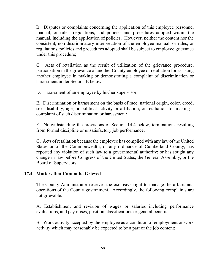B. Disputes or complaints concerning the application of this employee personnel manual, or rules, regulations, and policies and procedures adopted within the manual, including the application of policies. However, neither the content nor the consistent, non-discriminatory interpretation of the employee manual, or rules, or regulations, policies and procedures adopted shall be subject to employee grievance under this procedure;

C. Acts of retaliation as the result of utilization of the grievance procedure, participation in the grievance of another County employee or retaliation for assisting another employee in making or demonstrating a complaint of discrimination or harassment under Section E below;

D. Harassment of an employee by his/her supervisor;

E. Discrimination or harassment on the basis of race, national origin, color, creed, sex, disability, age, or political activity or affiliation, or retaliation for making a complaint of such discrimination or harassment;

F. Notwithstanding the provisions of Section 14.4 below, terminations resulting from formal discipline or unsatisfactory job performance;

G. Acts of retaliation because the employee has complied with any law of the United States or of the Commonwealth, or any ordinance of Cumberland County; has reported any violation of such law to a governmental authority; or has sought any change in law before Congress of the United States, the General Assembly, or the Board of Supervisors.

#### **17.4 Matters that Cannot be Grieved**

The County Administrator reserves the exclusive right to manage the affairs and operations of the County government. Accordingly, the following complaints are not grievable:

A. Establishment and revision of wages or salaries including performance evaluations, and pay raises, position classifications or general benefits;

B. Work activity accepted by the employee as a condition of employment or work activity which may reasonably be expected to be a part of the job content;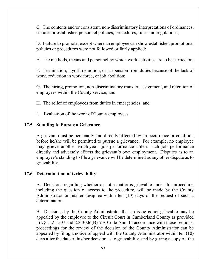C. The contents and/or consistent, non-discriminatory interpretations of ordinances, statutes or established personnel policies, procedures, rules and regulations;

D. Failure to promote, except where an employee can show established promotional policies or procedures were not followed or fairly applied;

E. The methods, means and personnel by which work activities are to be carried on;

F. Termination, layoff, demotion, or suspension from duties because of the lack of work, reduction in work force, or job abolition;

G. The hiring, promotion, non-discriminatory transfer, assignment, and retention of employees within the County service; and

H. The relief of employees from duties in emergencies; and

I. Evaluation of the work of County employees

#### **17.5 Standing to Pursue a Grievance**

A grievant must be personally and directly affected by an occurrence or condition before he/she will be permitted to pursue a grievance. For example, no employee may grieve another employee's job performance unless such job performance directly and adversely affects the grievant's own employment. Disputes as to an employee's standing to file a grievance will be determined as any other dispute as to grievability.

#### **17.6 Determination of Grievability**

A. Decisions regarding whether or not a matter is grievable under this procedure, including the question of access to the procedure, will be made by the County Administrator or his/her designee within ten (10) days of the request of such a determination.

B. Decisions by the County Administrator that an issue is not grievable may be appealed by the employee to the Circuit Court in Cumberland County as provided in §§15.2-1507 and 2.2-3006(B) VA Code Ann. In accordance with those sections, proceedings for the review of the decision of the County Administrator can be appealed by filing a notice of appeal with the County Administrator within ten (10) days after the date of his/her decision as to grievability, and by giving a copy of the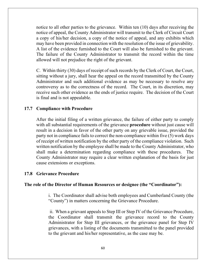notice to all other parties to the grievance. Within ten (10) days after receiving the notice of appeal, the County Administrator will transmit to the Clerk of Circuit Court a copy of his/her decision, a copy of the notice of appeal, and any exhibits which may have been provided in connection with the resolution of the issue of grievability. A list of the evidence furnished to the Court will also be furnished to the grievant. The failure of the County Administrator to transmit the record within the time allowed will not prejudice the right of the grievant.

C. Within thirty (30) days of receipt of such records by the Clerk of Court, the Court, sitting without a jury, shall hear the appeal on the record transmitted by the County Administrator and such additional evidence as may be necessary to resolve any controversy as to the correctness of the record. The Court, in its discretion, may receive such other evidence as the ends of justice require. The decision of the Court is final and is not appealable.

#### **17.7 Compliance with Procedure**

After the initial filing of a written grievance, the failure of either party to comply with all substantial requirements of the grievance **procedure** without just cause will result in a decision in favor of the other party on any grievable issue, provided the party not in compliance fails to correct the non-compliance within five (5) work days of receipt of written notification by the other party of the compliance violation. Such written notification by the employee shall be made to the County Administrator, who shall make a determination regarding compliance with these procedures. The County Administrator may require a clear written explanation of the basis for just cause extensions or exceptions.

#### **17.8 Grievance Procedure**

#### **The role of the Director of Human Resources or designee (the "Coordinator"):**

i. The Coordinator shall advise both employees and Cumberland County (the "County") in matters concerning the Grievance Procedure.

ii. When a grievant appeals to Step III or Step IV of the Grievance Procedure, the Coordinator shall transmit the grievance record to the County Administrator for Step III grievances, or the grievance panel for Step IV grievances, with a listing of the documents transmitted to the panel provided to the grievant and his/her representative, as the case may be.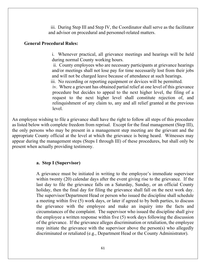iii. During Step III and Step IV, the Coordinator shall serve as the facilitator and advisor on procedural and personnel-related matters.

#### **General Procedural Rules:**

i. Whenever practical, all grievance meetings and hearings will be held during normal County working hours.

ii. County employees who are necessary participants at grievance hearings and/or meetings shall not lose pay for time necessarily lost from their jobs and will not be charged leave because of attendance at such hearings.

iii. No recording or reporting equipment or devices will be permitted.

iv. Where a grievant has obtained partial relief at one level of this grievance procedure but decides to appeal to the next higher level, the filing of a request to the next higher level shall constitute rejection of, and relinquishment of any claim to, any and all relief granted at the previous level.

An employee wishing to file a grievance shall have the right to follow all steps of this procedure as listed below with complete freedom from reprisal. Except for the final management (Step III), the only persons who may be present in a management step meeting are the grievant and the appropriate County official at the level at which the grievance is being heard. Witnesses may appear during the management steps (Steps I through III) of these procedures, but shall only be present when actually providing testimony.

#### **a. Step I (Supervisor)**

A grievance must be initiated in writing to the employee's immediate supervisor within twenty (20) calendar days after the event giving rise to the grievance. If the last day to file the grievance falls on a Saturday, Sunday, or an official County holiday, then the final day for filing the grievance shall fall on the next work day. The supervisor/Department Head or person who issued the discipline shall schedule a meeting within five (5) work days, or later if agreed to by both parties, to discuss the grievance with the employee and make an inquiry into the facts and circumstances of the complaint. The supervisor who issued the discipline shall give the employee a written response within five (5) work days following the discussion of the grievance. If the grievance alleges discrimination or retaliation, the employee may initiate the grievance with the supervisor above the person(s) who allegedly discriminated or retaliated (e.g., Department Head or the County Administrator).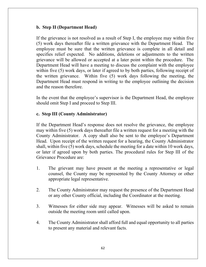#### **b. Step II (Department Head)**

If the grievance is not resolved as a result of Step I, the employee may within five (5) work days thereafter file a written grievance with the Department Head. The employee must be sure that the written grievance is complete in all detail and specifies relief expected. No additions, deletions or adjustments to the written grievance will be allowed or accepted at a later point within the procedure. The Department Head will have a meeting to discuss the complaint with the employee within five (5) work days, or later if agreed to by both parties, following receipt of the written grievance. Within five (5) work days following the meeting, the Department Head must respond in writing to the employee outlining the decision and the reason therefore.

In the event that the employee's supervisor is the Department Head, the employee should omit Step I and proceed to Step III.

#### **c. Step III (County Administrator)**

If the Department Head's response does not resolve the grievance, the employee may within five (5) work days thereafter file a written request for a meeting with the County Administrator. A copy shall also be sent to the employee's Department Head. Upon receipt of the written request for a hearing, the County Administrator shall, within five (5) work days, schedule the meeting for a date within 10 work days, or later if agreed upon by both parties. The procedural rules for Step III of the Grievance Procedure are:

- 1. The grievant may have present at the meeting a representative or legal counsel, the County may be represented by the County Attorney or other appropriate legal representative.
- 2. The County Administrator may request the presence of the Department Head or any other County official, including the Coordinator at the meeting.
- 3. Witnesses for either side may appear. Witnesses will be asked to remain outside the meeting room until called upon.
- 4. The County Administrator shall afford full and equal opportunity to all parties to present any material and relevant facts.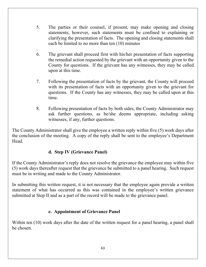- 5. The parties or their counsel, if present, may make opening and closing statements; however, such statements must be confined to explaining or clarifying the presentation of facts. The opening and closing statements shall each be limited to no more than ten (10) minutes
- . 6. The grievant shall proceed first with his/her presentation of facts supporting the remedial action requested by the grievant with an opportunity given to the County for questions. If the grievant has any witnesses, they may be called upon at this time.
- 7. Following the presentation of facts by the grievant, the County will proceed with its presentation of facts with an opportunity given to the grievant for questions. If the County has any witnesses, they may be called upon at this time.
- 8. Following presentation of facts by both sides, the County Administrator may ask further questions, as he/she deems appropriate, including asking witnesses, if any, further questions.

The County Administrator shall give the employee a written reply within five (5) work days after the conclusion of the meeting. A copy of the reply shall be sent to the employee's Department Head.

## **d. Step IV (Grievance Panel)**

If the County Administrator's reply does not resolve the grievance the employee may within five (5) work days thereafter request that the grievance be submitted to a panel hearing. Such request must be in writing and made to the County Administrator.

In submitting this written request, it is not necessary that the employee again provide a written statement of what has occurred as this was contained in the employee's written grievance submitted at Step II and as a part of the record will be made to the grievance panel.

## **e. Appointment of Grievance Panel**

Within ten (10) work days after the date of the written request for a panel hearing, a panel shall be chosen.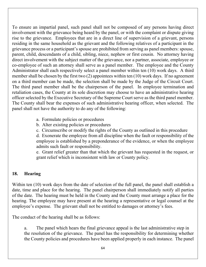To ensure an impartial panel, such panel shall not be composed of any persons having direct involvement with the grievance being heard by the panel, or with the complaint or dispute giving rise to the grievance. Employees that are in a direct line of supervision of a grievant, persons residing in the same household as the grievant and the following relatives of a participant in the grievance process or a participant's spouse are prohibited from serving as panel members: spouse, parent, child, descendants of a child, sibling, niece, nephew or first cousin. No attorney having direct involvement with the subject matter of the grievance, nor a partner, associate, employee or co-employee of such an attorney shall serve as a panel member. The employee and the County Administrator shall each respectively select a panel member within ten (10) work days. A third member shall be chosen by the first two (2) appointees within ten (10) work days. If no agreement on a third member can be made, the selection shall be made by the Judge of the Circuit Court. The third panel member shall be the chairperson of the panel. In employee termination and retaliation cases, the County at its sole discretion may choose to have an administrative hearing officer selected by the Executive Secretary of the Supreme Court serve as the third panel member. The County shall bear the expenses of such administrative hearing officer, when selected. The panel shall not have the authority to do any of the following:

- a. Formulate policies or procedures
- b. Alter existing policies or procedures
- c. Circumscribe or modify the rights of the County as outlined in this procedure

d. Exonerate the employee from all discipline when the fault or responsibility of the employee is established by a preponderance of the evidence, or when the employee admits such fault or responsibility.

e. Grant relief greater than that which the grievant has requested in the request, or grant relief which is inconsistent with law or County policy.

## **18. Hearing**

Within ten (10) work days from the date of selection of the full panel, the panel shall establish a date, time and place for the hearing. The panel chairperson shall immediately notify all parties of the date. The hearing must be held in the County and the County must arrange a place for the hearing. The employee may have present at the hearing a representative or legal counsel at the employee's expense. The grievant shall not be entitled to damages or attorney's fees.

The conduct of the hearing shall be as follows:

a. The panel which hears the final grievance appeal is the last administrative step in the resolution of the grievance. The panel has the responsibility for determining whether the County policies and procedures have been applied properly in each instance. The panel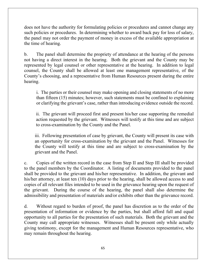does not have the authority for formulating policies or procedures and cannot change any such policies or procedures. In determining whether to award back pay for loss of salary, the panel may not order the payment of money in excess of the available appropriation at the time of hearing.

b. The panel shall determine the propriety of attendance at the hearing of the persons not having a direct interest in the hearing. Both the grievant and the County may be represented by legal counsel or other representative at the hearing. In addition to legal counsel, the County shall be allowed at least one management representative, of the County's choosing, and a representative from Human Resources present during the entire hearing.

i. The parties or their counsel may make opening and closing statements of no more than fifteen (15) minutes; however, such statements must be confined to explaining or clarifying the grievant's case, rather than introducing evidence outside the record.

ii. The grievant will proceed first and present his/her case supporting the remedial action requested by the grievant. Witnesses will testify at this time and are subject to cross-examination by the County and the Panel.

iii. Following presentation of case by grievant, the County will present its case with an opportunity for cross-examination by the grievant and the Panel. Witnesses for the County will testify at this time and are subject to cross-examination by the grievant and the Panel.

c. Copies of the written record in the case from Step II and Step III shall be provided to the panel members by the Coordinator. A listing of documents provided to the panel shall be provided to the grievant and his/her representative. In addition, the grievant and his/her attorney, at least ten (10) days prior to the hearing, shall be allowed access to and copies of all relevant files intended to be used in the grievance hearing upon the request of the grievant. During the course of the hearing, the panel shall also determine the admissibility and presentation of materials and/or exhibits other than the grievance record.

d. Without regard to burden of proof, the panel has discretion as to the order of the presentation of information or evidence by the parties, but shall afford full and equal opportunity to all parties for the presentation of such materials. Both the grievant and the County may call appropriate witnesses. Witnesses shall be present only while actually giving testimony, except for the management and Human Resources representative, who may remain throughout the hearing.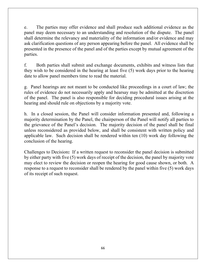e. The parties may offer evidence and shall produce such additional evidence as the panel may deem necessary to an understanding and resolution of the dispute. The panel shall determine the relevancy and materiality of the information and/or evidence and may ask clarification questions of any person appearing before the panel. All evidence shall be presented in the presence of the panel and of the parties except by mutual agreement of the parties.

f. Both parties shall submit and exchange documents, exhibits and witness lists that they wish to be considered in the hearing at least five (5) work days prior to the hearing date to allow panel members time to read the material.

g. Panel hearings are not meant to be conducted like proceedings in a court of law; the rules of evidence do not necessarily apply and hearsay may be admitted at the discretion of the panel. The panel is also responsible for deciding procedural issues arising at the hearing and should rule on objections by a majority vote.

h. In a closed session, the Panel will consider information presented and, following a majority determination by the Panel, the chairperson of the Panel will notify all parties to the grievance of the Panel's decision. The majority decision of the panel shall be final unless reconsidered as provided below, and shall be consistent with written policy and applicable law. Such decision shall be rendered within ten (10) work day following the conclusion of the hearing.

Challenges to Decision**:** If a written request to reconsider the panel decision is submitted by either party with five (5) work days of receipt of the decision, the panel by majority vote may elect to review the decision or reopen the hearing for good cause shown, or both. A response to a request to reconsider shall be rendered by the panel within five (5) work days of its receipt of such request.